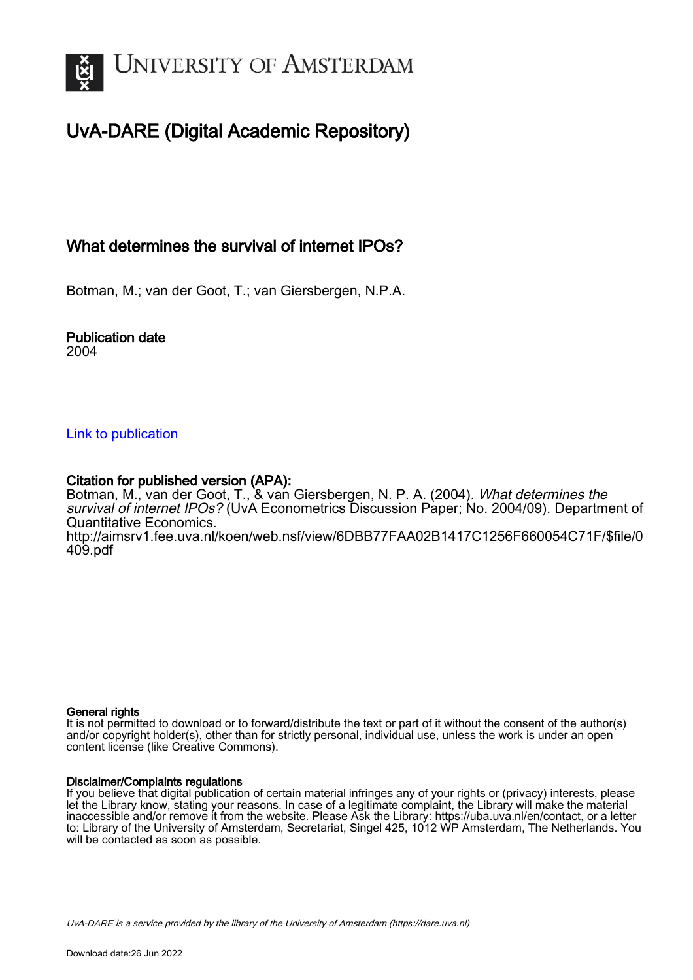

# UvA-DARE (Digital Academic Repository)

# What determines the survival of internet IPOs?

Botman, M.; van der Goot, T.; van Giersbergen, N.P.A.

#### Publication date 2004

### [Link to publication](https://dare.uva.nl/personal/pure/en/publications/what-determines-the-survival-of-internet-ipos(0ef78a8c-18d7-475c-9cf0-bc3c5764de08).html)

# Citation for published version (APA):

Botman, M., van der Goot, T., & van Giersbergen, N. P. A. (2004). What determines the survival of internet IPOs? (UvA Econometrics Discussion Paper; No. 2004/09). Department of Quantitative Economics. [http://aimsrv1.fee.uva.nl/koen/web.nsf/view/6DBB77FAA02B1417C1256F660054C71F/\\$file/0](http://aimsrv1.fee.uva.nl/koen/web.nsf/view/6DBB77FAA02B1417C1256F660054C71F/$file/0409.pdf) [409.pdf](http://aimsrv1.fee.uva.nl/koen/web.nsf/view/6DBB77FAA02B1417C1256F660054C71F/$file/0409.pdf)

#### General rights

It is not permitted to download or to forward/distribute the text or part of it without the consent of the author(s) and/or copyright holder(s), other than for strictly personal, individual use, unless the work is under an open content license (like Creative Commons).

#### Disclaimer/Complaints regulations

If you believe that digital publication of certain material infringes any of your rights or (privacy) interests, please let the Library know, stating your reasons. In case of a legitimate complaint, the Library will make the material inaccessible and/or remove it from the website. Please Ask the Library: https://uba.uva.nl/en/contact, or a letter to: Library of the University of Amsterdam, Secretariat, Singel 425, 1012 WP Amsterdam, The Netherlands. You will be contacted as soon as possible.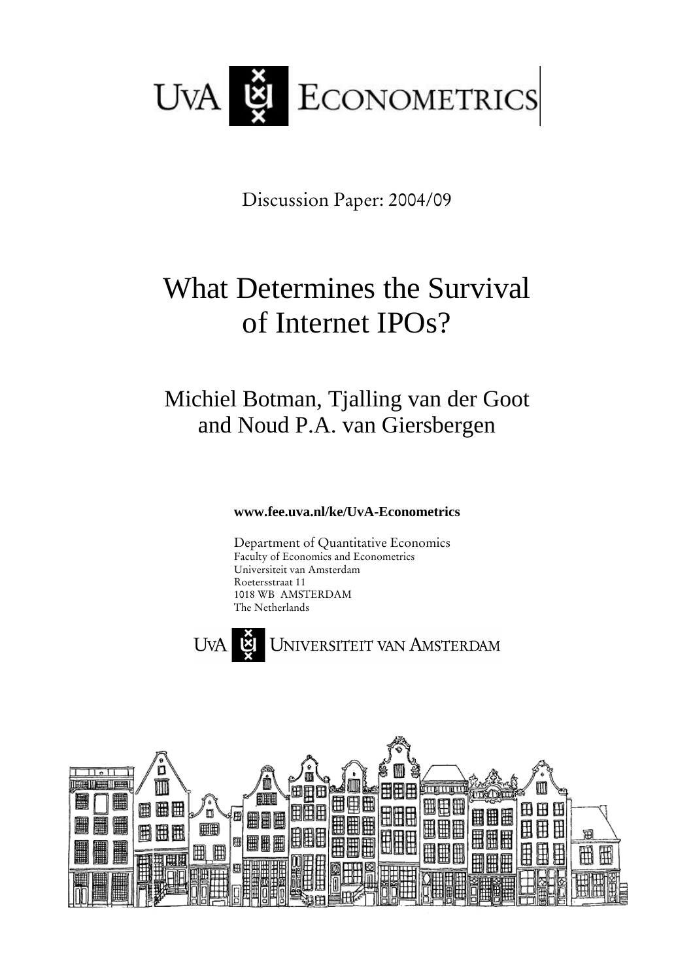

Discussion Paper: 2004/09

# What Determines the Survival of Internet IPOs?

# Michiel Botman, Tjalling van der Goot and Noud P.A. van Giersbergen

# **www.fee.uva.nl/ke/UvA-Econometrics**

Department of Quantitative Economics Faculty of Economics and Econometrics Universiteit van Amsterdam Roetersstraat 11 1018 WB AMSTERDAM The Netherlands



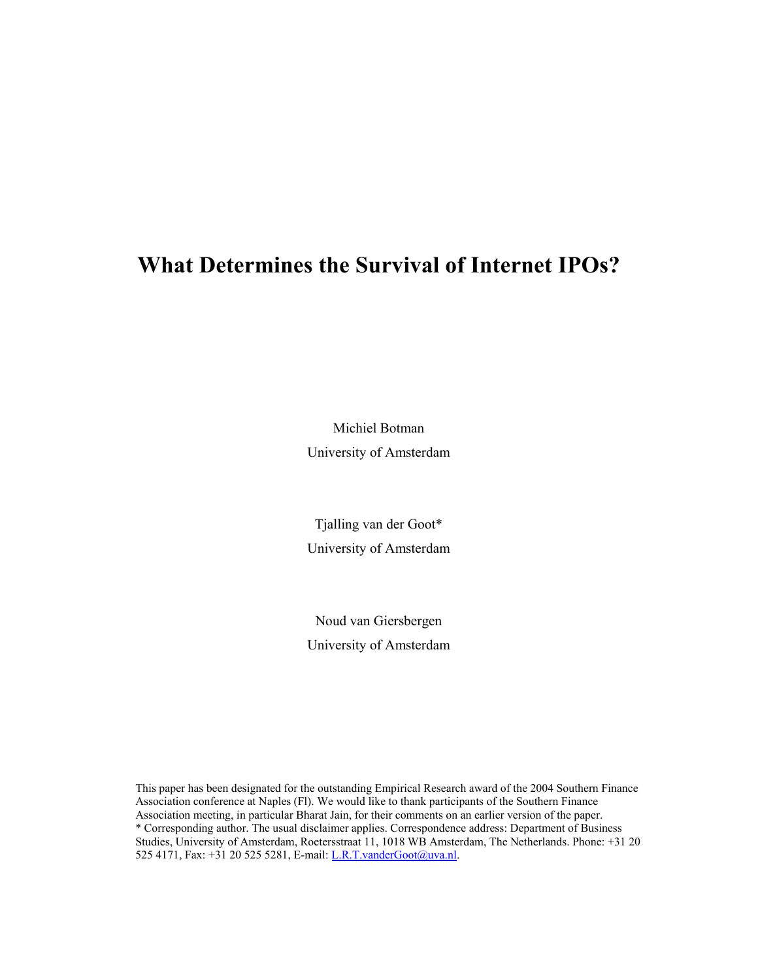# **What Determines the Survival of Internet IPOs?**

Michiel Botman University of Amsterdam

Tjalling van der Goot\* University of Amsterdam

Noud van Giersbergen University of Amsterdam

This paper has been designated for the outstanding Empirical Research award of the 2004 Southern Finance Association conference at Naples (Fl). We would like to thank participants of the Southern Finance Association meeting, in particular Bharat Jain, for their comments on an earlier version of the paper. \* Corresponding author. The usual disclaimer applies. Correspondence address: Department of Business Studies, University of Amsterdam, Roetersstraat 11, 1018 WB Amsterdam, The Netherlands. Phone: +31 20 525 4171, Fax: +31 20 525 5281, E-mail: L.R.T.vanderGoot@uva.nl.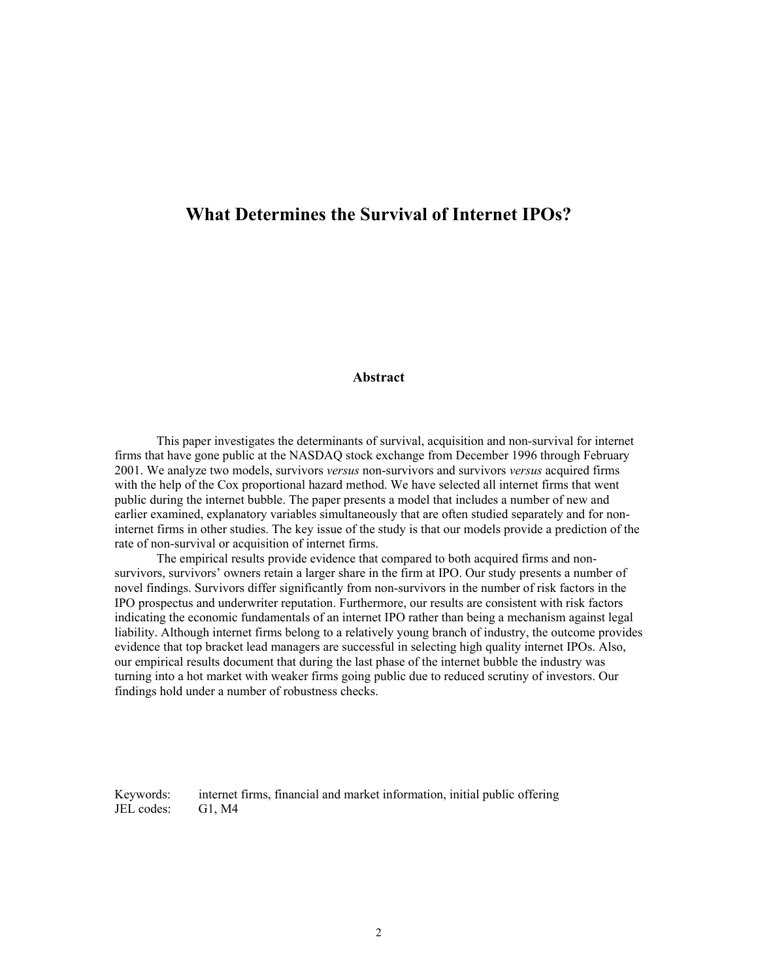# **What Determines the Survival of Internet IPOs?**

#### **Abstract**

This paper investigates the determinants of survival, acquisition and non-survival for internet firms that have gone public at the NASDAQ stock exchange from December 1996 through February 2001. We analyze two models, survivors *versus* non-survivors and survivors *versus* acquired firms with the help of the Cox proportional hazard method. We have selected all internet firms that went public during the internet bubble. The paper presents a model that includes a number of new and earlier examined, explanatory variables simultaneously that are often studied separately and for noninternet firms in other studies. The key issue of the study is that our models provide a prediction of the rate of non-survival or acquisition of internet firms.

The empirical results provide evidence that compared to both acquired firms and nonsurvivors, survivors' owners retain a larger share in the firm at IPO. Our study presents a number of novel findings. Survivors differ significantly from non-survivors in the number of risk factors in the IPO prospectus and underwriter reputation. Furthermore, our results are consistent with risk factors indicating the economic fundamentals of an internet IPO rather than being a mechanism against legal liability. Although internet firms belong to a relatively young branch of industry, the outcome provides evidence that top bracket lead managers are successful in selecting high quality internet IPOs. Also, our empirical results document that during the last phase of the internet bubble the industry was turning into a hot market with weaker firms going public due to reduced scrutiny of investors. Our findings hold under a number of robustness checks.

Keywords: internet firms, financial and market information, initial public offering JEL codes: G1, M4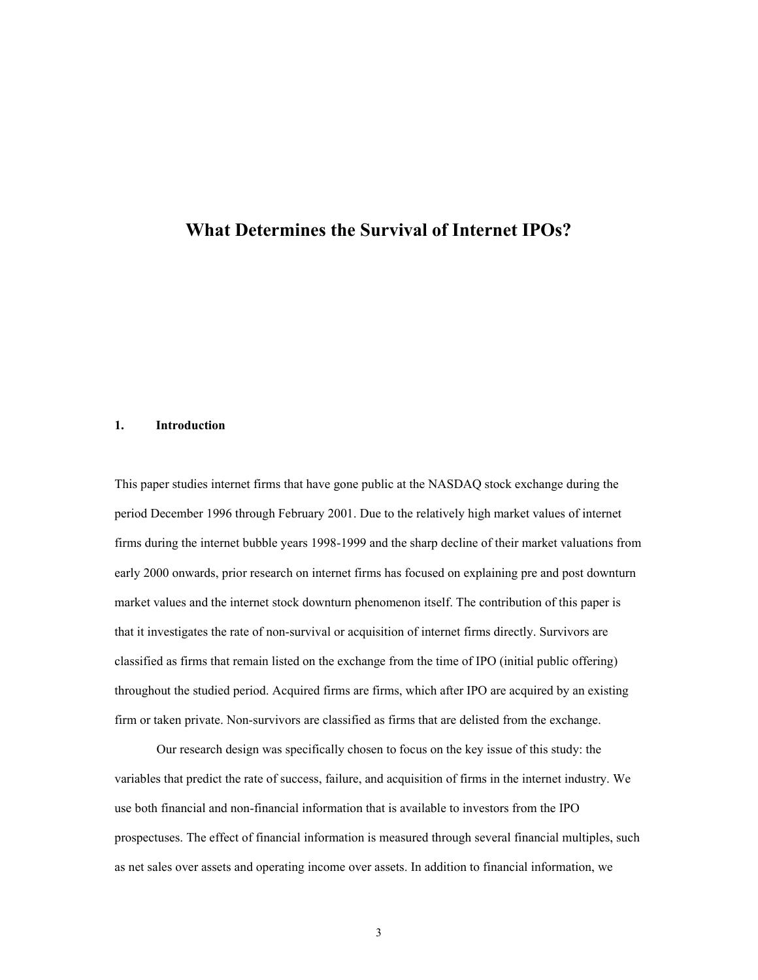### **What Determines the Survival of Internet IPOs?**

#### **1. Introduction**

This paper studies internet firms that have gone public at the NASDAQ stock exchange during the period December 1996 through February 2001. Due to the relatively high market values of internet firms during the internet bubble years 1998-1999 and the sharp decline of their market valuations from early 2000 onwards, prior research on internet firms has focused on explaining pre and post downturn market values and the internet stock downturn phenomenon itself. The contribution of this paper is that it investigates the rate of non-survival or acquisition of internet firms directly. Survivors are classified as firms that remain listed on the exchange from the time of IPO (initial public offering) throughout the studied period. Acquired firms are firms, which after IPO are acquired by an existing firm or taken private. Non-survivors are classified as firms that are delisted from the exchange.

Our research design was specifically chosen to focus on the key issue of this study: the variables that predict the rate of success, failure, and acquisition of firms in the internet industry. We use both financial and non-financial information that is available to investors from the IPO prospectuses. The effect of financial information is measured through several financial multiples, such as net sales over assets and operating income over assets. In addition to financial information, we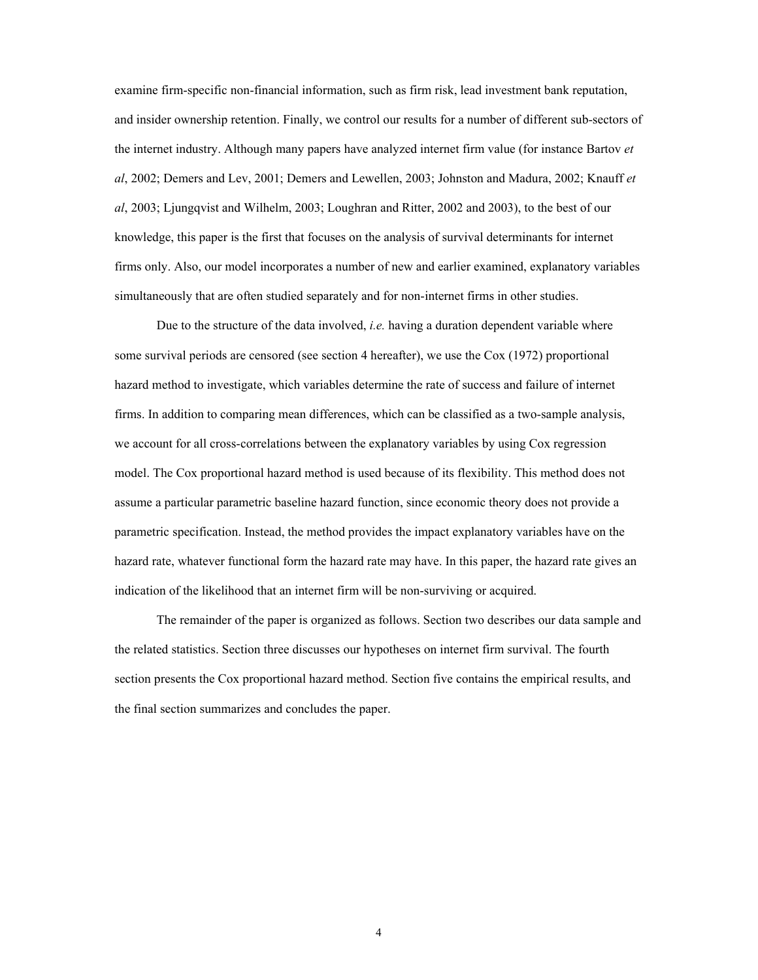examine firm-specific non-financial information, such as firm risk, lead investment bank reputation, and insider ownership retention. Finally, we control our results for a number of different sub-sectors of the internet industry. Although many papers have analyzed internet firm value (for instance Bartov *et al*, 2002; Demers and Lev, 2001; Demers and Lewellen, 2003; Johnston and Madura, 2002; Knauff *et al*, 2003; Ljungqvist and Wilhelm, 2003; Loughran and Ritter, 2002 and 2003), to the best of our knowledge, this paper is the first that focuses on the analysis of survival determinants for internet firms only. Also, our model incorporates a number of new and earlier examined, explanatory variables simultaneously that are often studied separately and for non-internet firms in other studies.

Due to the structure of the data involved, *i.e.* having a duration dependent variable where some survival periods are censored (see section 4 hereafter), we use the Cox (1972) proportional hazard method to investigate, which variables determine the rate of success and failure of internet firms. In addition to comparing mean differences, which can be classified as a two-sample analysis, we account for all cross-correlations between the explanatory variables by using Cox regression model. The Cox proportional hazard method is used because of its flexibility. This method does not assume a particular parametric baseline hazard function, since economic theory does not provide a parametric specification. Instead, the method provides the impact explanatory variables have on the hazard rate, whatever functional form the hazard rate may have. In this paper, the hazard rate gives an indication of the likelihood that an internet firm will be non-surviving or acquired.

The remainder of the paper is organized as follows. Section two describes our data sample and the related statistics. Section three discusses our hypotheses on internet firm survival. The fourth section presents the Cox proportional hazard method. Section five contains the empirical results, and the final section summarizes and concludes the paper.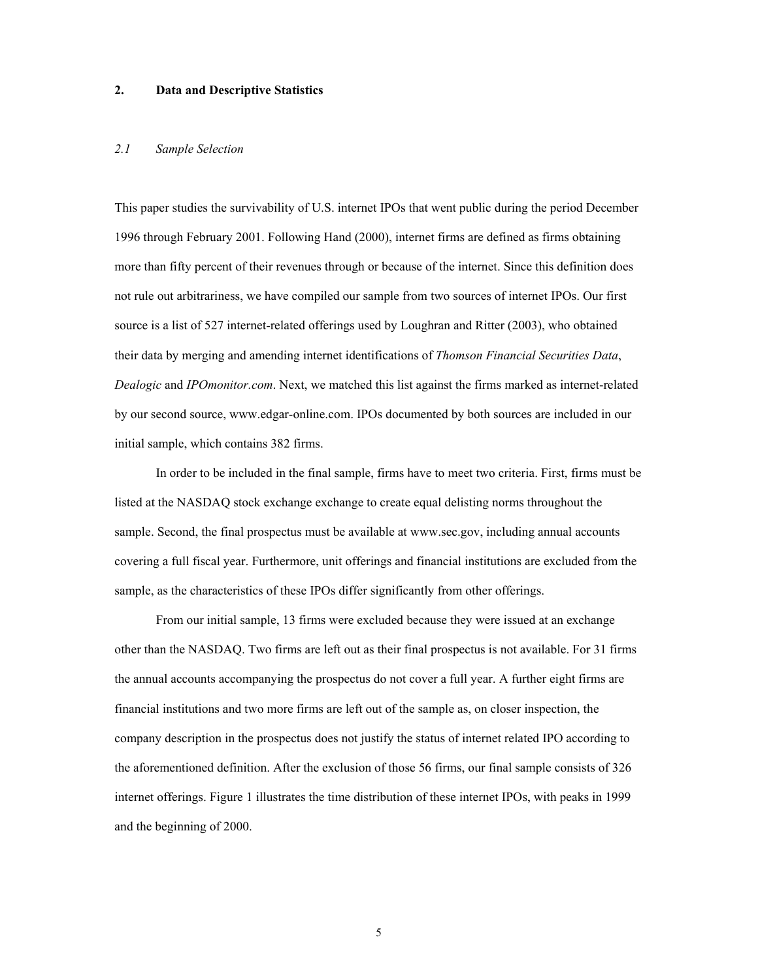#### **2. Data and Descriptive Statistics**

#### *2.1 Sample Selection*

This paper studies the survivability of U.S. internet IPOs that went public during the period December 1996 through February 2001. Following Hand (2000), internet firms are defined as firms obtaining more than fifty percent of their revenues through or because of the internet. Since this definition does not rule out arbitrariness, we have compiled our sample from two sources of internet IPOs. Our first source is a list of 527 internet-related offerings used by Loughran and Ritter (2003), who obtained their data by merging and amending internet identifications of *Thomson Financial Securities Data*, *Dealogic* and *IPOmonitor.com*. Next, we matched this list against the firms marked as internet-related by our second source, www.edgar-online.com. IPOs documented by both sources are included in our initial sample, which contains 382 firms.

 In order to be included in the final sample, firms have to meet two criteria. First, firms must be listed at the NASDAQ stock exchange exchange to create equal delisting norms throughout the sample. Second, the final prospectus must be available at www.sec.gov, including annual accounts covering a full fiscal year. Furthermore, unit offerings and financial institutions are excluded from the sample, as the characteristics of these IPOs differ significantly from other offerings.

 From our initial sample, 13 firms were excluded because they were issued at an exchange other than the NASDAQ. Two firms are left out as their final prospectus is not available. For 31 firms the annual accounts accompanying the prospectus do not cover a full year. A further eight firms are financial institutions and two more firms are left out of the sample as, on closer inspection, the company description in the prospectus does not justify the status of internet related IPO according to the aforementioned definition. After the exclusion of those 56 firms, our final sample consists of 326 internet offerings. Figure 1 illustrates the time distribution of these internet IPOs, with peaks in 1999 and the beginning of 2000.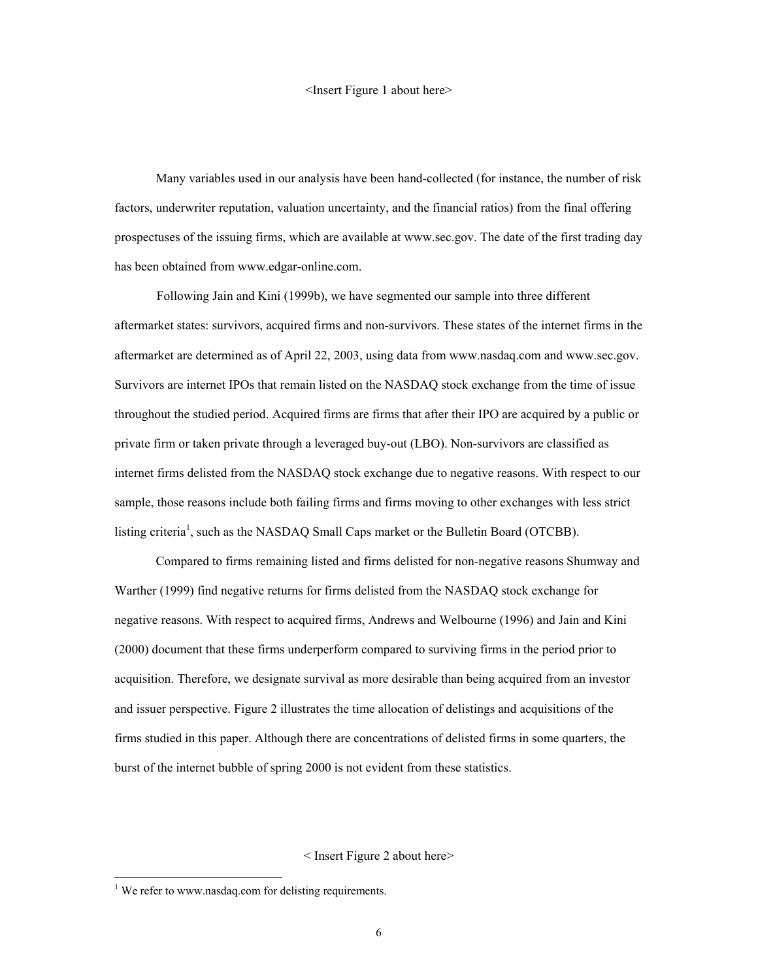#### <Insert Figure 1 about here>

 Many variables used in our analysis have been hand-collected (for instance, the number of risk factors, underwriter reputation, valuation uncertainty, and the financial ratios) from the final offering prospectuses of the issuing firms, which are available at www.sec.gov. The date of the first trading day has been obtained from www.edgar-online.com.

Following Jain and Kini (1999b), we have segmented our sample into three different aftermarket states: survivors, acquired firms and non-survivors. These states of the internet firms in the aftermarket are determined as of April 22, 2003, using data from www.nasdaq.com and www.sec.gov. Survivors are internet IPOs that remain listed on the NASDAQ stock exchange from the time of issue throughout the studied period. Acquired firms are firms that after their IPO are acquired by a public or private firm or taken private through a leveraged buy-out (LBO). Non-survivors are classified as internet firms delisted from the NASDAQ stock exchange due to negative reasons. With respect to our sample, those reasons include both failing firms and firms moving to other exchanges with less strict listing criteria<sup>1</sup>, such as the NASDAQ Small Caps market or the Bulletin Board (OTCBB).

 Compared to firms remaining listed and firms delisted for non-negative reasons Shumway and Warther (1999) find negative returns for firms delisted from the NASDAQ stock exchange for negative reasons. With respect to acquired firms, Andrews and Welbourne (1996) and Jain and Kini (2000) document that these firms underperform compared to surviving firms in the period prior to acquisition. Therefore, we designate survival as more desirable than being acquired from an investor and issuer perspective. Figure 2 illustrates the time allocation of delistings and acquisitions of the firms studied in this paper. Although there are concentrations of delisted firms in some quarters, the burst of the internet bubble of spring 2000 is not evident from these statistics.

#### < Insert Figure 2 about here>

l

<sup>&</sup>lt;sup>1</sup> We refer to www.nasdaq.com for delisting requirements.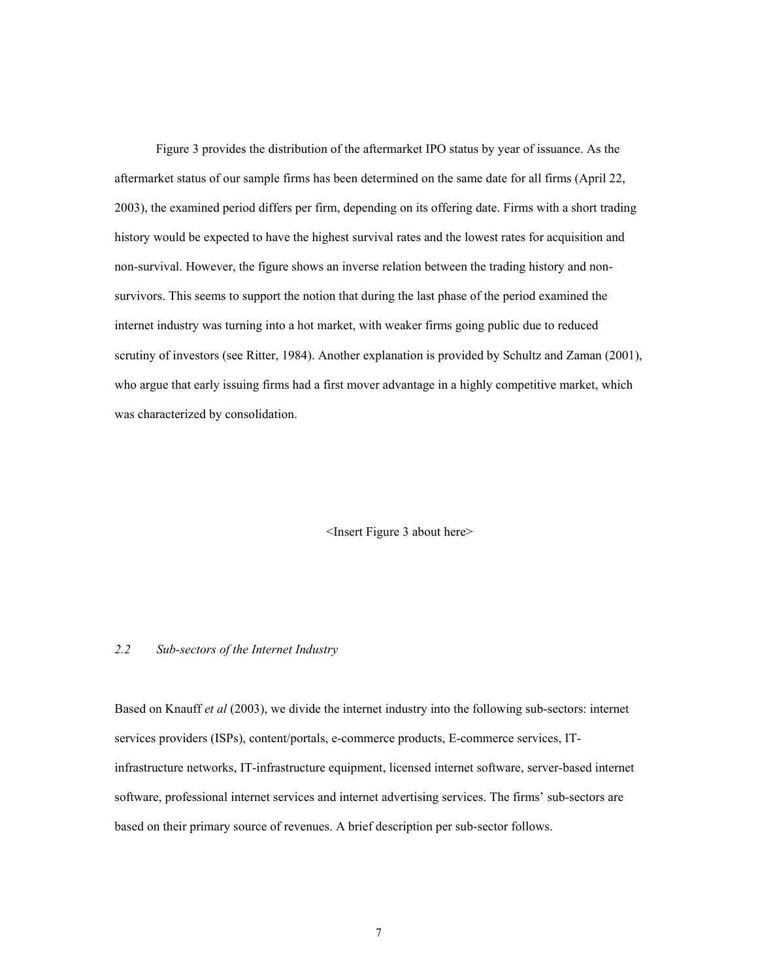Figure 3 provides the distribution of the aftermarket IPO status by year of issuance. As the aftermarket status of our sample firms has been determined on the same date for all firms (April 22, 2003), the examined period differs per firm, depending on its offering date. Firms with a short trading history would be expected to have the highest survival rates and the lowest rates for acquisition and non-survival. However, the figure shows an inverse relation between the trading history and nonsurvivors. This seems to support the notion that during the last phase of the period examined the internet industry was turning into a hot market, with weaker firms going public due to reduced scrutiny of investors (see Ritter, 1984). Another explanation is provided by Schultz and Zaman (2001), who argue that early issuing firms had a first mover advantage in a highly competitive market, which was characterized by consolidation.

<Insert Figure 3 about here>

#### *2.2 Sub-sectors of the Internet Industry*

Based on Knauff *et al* (2003), we divide the internet industry into the following sub-sectors: internet services providers (ISPs), content/portals, e-commerce products, E-commerce services, ITinfrastructure networks, IT-infrastructure equipment, licensed internet software, server-based internet software, professional internet services and internet advertising services. The firms' sub-sectors are based on their primary source of revenues. A brief description per sub-sector follows.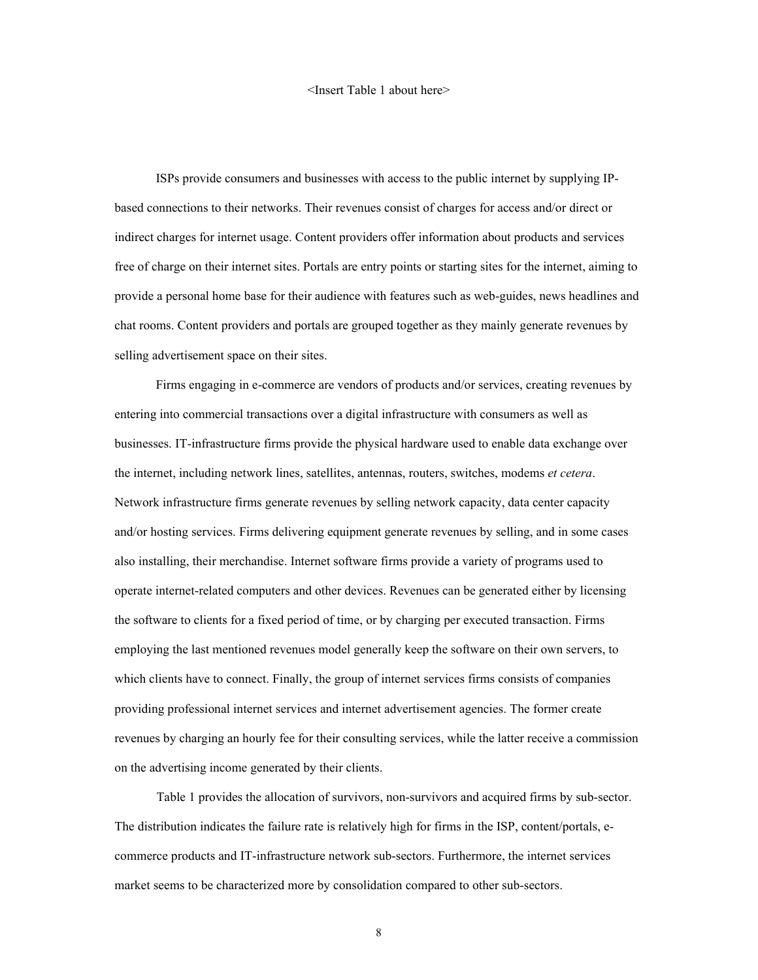#### <Insert Table 1 about here>

ISPs provide consumers and businesses with access to the public internet by supplying IPbased connections to their networks. Their revenues consist of charges for access and/or direct or indirect charges for internet usage. Content providers offer information about products and services free of charge on their internet sites. Portals are entry points or starting sites for the internet, aiming to provide a personal home base for their audience with features such as web-guides, news headlines and chat rooms. Content providers and portals are grouped together as they mainly generate revenues by selling advertisement space on their sites.

Firms engaging in e-commerce are vendors of products and/or services, creating revenues by entering into commercial transactions over a digital infrastructure with consumers as well as businesses. IT-infrastructure firms provide the physical hardware used to enable data exchange over the internet, including network lines, satellites, antennas, routers, switches, modems *et cetera*. Network infrastructure firms generate revenues by selling network capacity, data center capacity and/or hosting services. Firms delivering equipment generate revenues by selling, and in some cases also installing, their merchandise. Internet software firms provide a variety of programs used to operate internet-related computers and other devices. Revenues can be generated either by licensing the software to clients for a fixed period of time, or by charging per executed transaction. Firms employing the last mentioned revenues model generally keep the software on their own servers, to which clients have to connect. Finally, the group of internet services firms consists of companies providing professional internet services and internet advertisement agencies. The former create revenues by charging an hourly fee for their consulting services, while the latter receive a commission on the advertising income generated by their clients.

Table 1 provides the allocation of survivors, non-survivors and acquired firms by sub-sector. The distribution indicates the failure rate is relatively high for firms in the ISP, content/portals, ecommerce products and IT-infrastructure network sub-sectors. Furthermore, the internet services market seems to be characterized more by consolidation compared to other sub-sectors.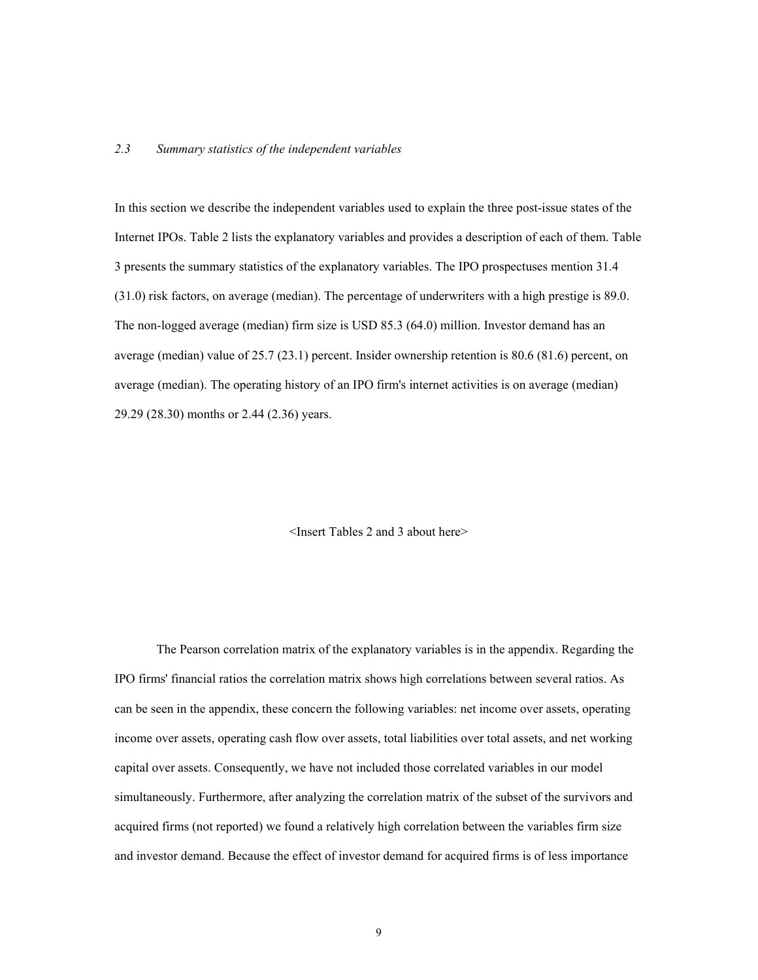#### *2.3 Summary statistics of the independent variables*

In this section we describe the independent variables used to explain the three post-issue states of the Internet IPOs. Table 2 lists the explanatory variables and provides a description of each of them. Table 3 presents the summary statistics of the explanatory variables. The IPO prospectuses mention 31.4 (31.0) risk factors, on average (median). The percentage of underwriters with a high prestige is 89.0. The non-logged average (median) firm size is USD 85.3 (64.0) million. Investor demand has an average (median) value of 25.7 (23.1) percent. Insider ownership retention is 80.6 (81.6) percent, on average (median). The operating history of an IPO firm's internet activities is on average (median) 29.29 (28.30) months or 2.44 (2.36) years.

<Insert Tables 2 and 3 about here>

The Pearson correlation matrix of the explanatory variables is in the appendix. Regarding the IPO firms' financial ratios the correlation matrix shows high correlations between several ratios. As can be seen in the appendix, these concern the following variables: net income over assets, operating income over assets, operating cash flow over assets, total liabilities over total assets, and net working capital over assets. Consequently, we have not included those correlated variables in our model simultaneously. Furthermore, after analyzing the correlation matrix of the subset of the survivors and acquired firms (not reported) we found a relatively high correlation between the variables firm size and investor demand. Because the effect of investor demand for acquired firms is of less importance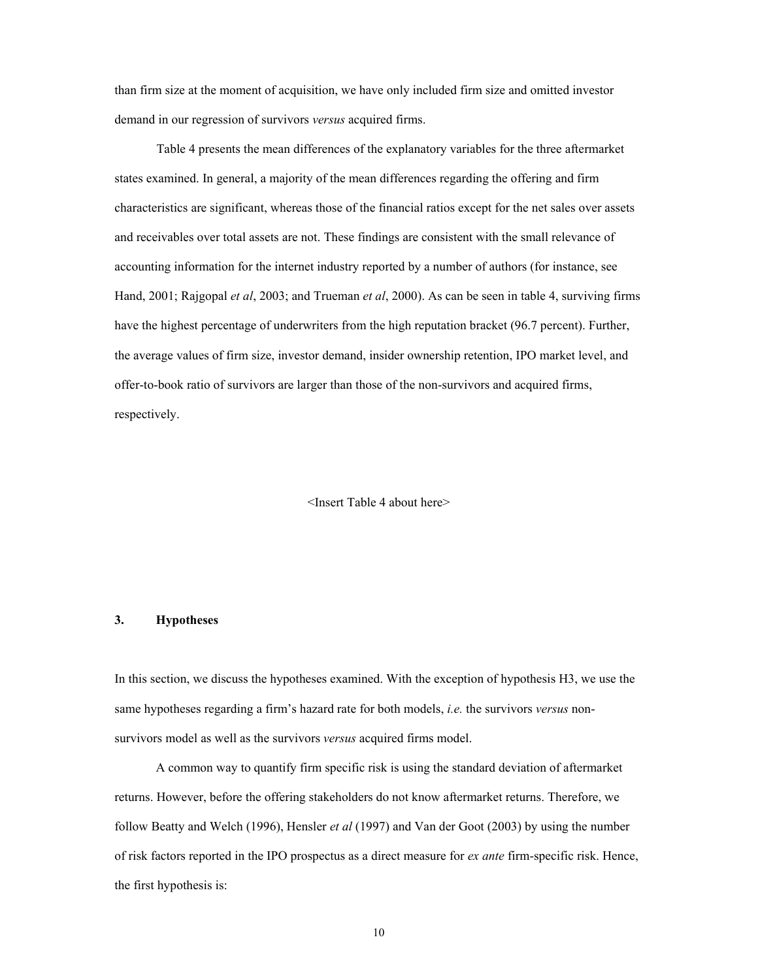than firm size at the moment of acquisition, we have only included firm size and omitted investor demand in our regression of survivors *versus* acquired firms.

Table 4 presents the mean differences of the explanatory variables for the three aftermarket states examined. In general, a majority of the mean differences regarding the offering and firm characteristics are significant, whereas those of the financial ratios except for the net sales over assets and receivables over total assets are not. These findings are consistent with the small relevance of accounting information for the internet industry reported by a number of authors (for instance, see Hand, 2001; Rajgopal *et al*, 2003; and Trueman *et al*, 2000). As can be seen in table 4, surviving firms have the highest percentage of underwriters from the high reputation bracket (96.7 percent). Further, the average values of firm size, investor demand, insider ownership retention, IPO market level, and offer-to-book ratio of survivors are larger than those of the non-survivors and acquired firms, respectively.

<Insert Table 4 about here>

#### **3. Hypotheses**

In this section, we discuss the hypotheses examined. With the exception of hypothesis H3, we use the same hypotheses regarding a firm's hazard rate for both models, *i.e.* the survivors *versus* nonsurvivors model as well as the survivors *versus* acquired firms model.

A common way to quantify firm specific risk is using the standard deviation of aftermarket returns. However, before the offering stakeholders do not know aftermarket returns. Therefore, we follow Beatty and Welch (1996), Hensler *et al* (1997) and Van der Goot (2003) by using the number of risk factors reported in the IPO prospectus as a direct measure for *ex ante* firm-specific risk. Hence, the first hypothesis is: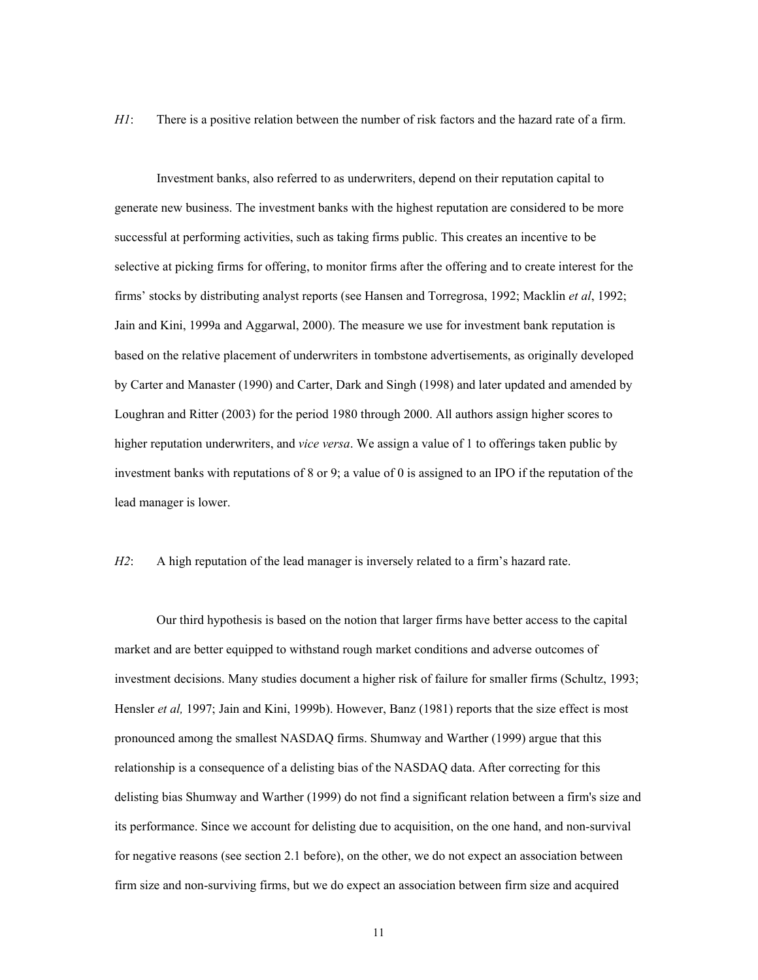*H1*: There is a positive relation between the number of risk factors and the hazard rate of a firm.

Investment banks, also referred to as underwriters, depend on their reputation capital to generate new business. The investment banks with the highest reputation are considered to be more successful at performing activities, such as taking firms public. This creates an incentive to be selective at picking firms for offering, to monitor firms after the offering and to create interest for the firms' stocks by distributing analyst reports (see Hansen and Torregrosa, 1992; Macklin *et al*, 1992; Jain and Kini, 1999a and Aggarwal, 2000). The measure we use for investment bank reputation is based on the relative placement of underwriters in tombstone advertisements, as originally developed by Carter and Manaster (1990) and Carter, Dark and Singh (1998) and later updated and amended by Loughran and Ritter (2003) for the period 1980 through 2000. All authors assign higher scores to higher reputation underwriters, and *vice versa*. We assign a value of 1 to offerings taken public by investment banks with reputations of 8 or 9; a value of 0 is assigned to an IPO if the reputation of the lead manager is lower.

*H2*: A high reputation of the lead manager is inversely related to a firm's hazard rate.

Our third hypothesis is based on the notion that larger firms have better access to the capital market and are better equipped to withstand rough market conditions and adverse outcomes of investment decisions. Many studies document a higher risk of failure for smaller firms (Schultz, 1993; Hensler *et al,* 1997; Jain and Kini, 1999b). However, Banz (1981) reports that the size effect is most pronounced among the smallest NASDAQ firms. Shumway and Warther (1999) argue that this relationship is a consequence of a delisting bias of the NASDAQ data. After correcting for this delisting bias Shumway and Warther (1999) do not find a significant relation between a firm's size and its performance. Since we account for delisting due to acquisition, on the one hand, and non-survival for negative reasons (see section 2.1 before), on the other, we do not expect an association between firm size and non-surviving firms, but we do expect an association between firm size and acquired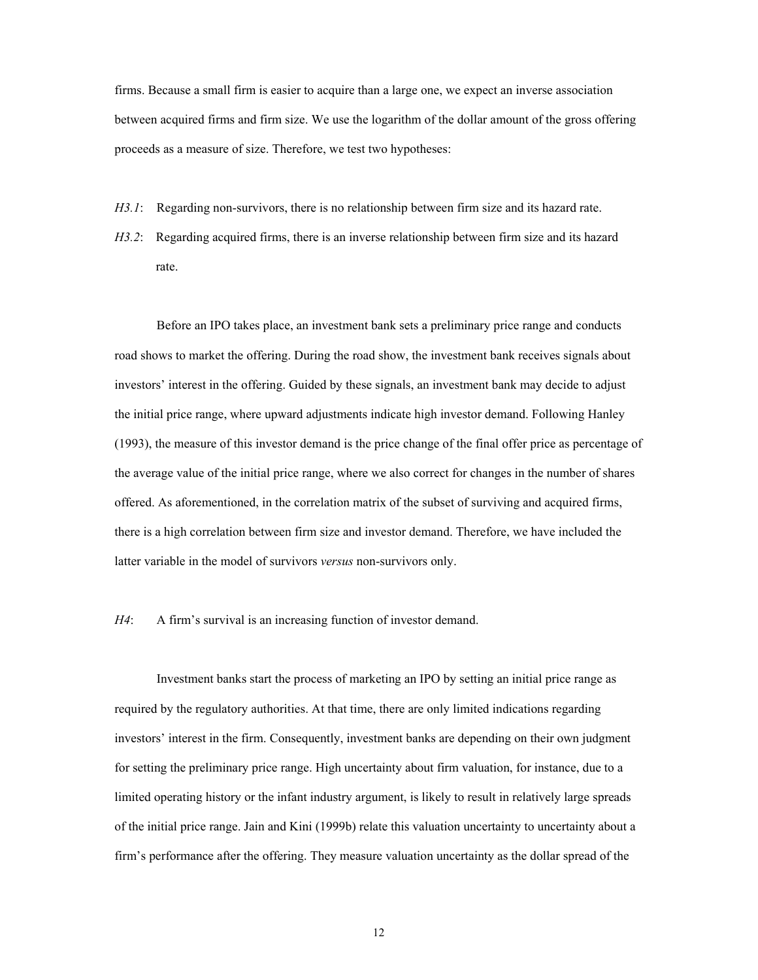firms. Because a small firm is easier to acquire than a large one, we expect an inverse association between acquired firms and firm size. We use the logarithm of the dollar amount of the gross offering proceeds as a measure of size. Therefore, we test two hypotheses:

- *H3.1*: Regarding non-survivors, there is no relationship between firm size and its hazard rate.
- *H3.2*: Regarding acquired firms, there is an inverse relationship between firm size and its hazard rate.

Before an IPO takes place, an investment bank sets a preliminary price range and conducts road shows to market the offering. During the road show, the investment bank receives signals about investors' interest in the offering. Guided by these signals, an investment bank may decide to adjust the initial price range, where upward adjustments indicate high investor demand. Following Hanley (1993), the measure of this investor demand is the price change of the final offer price as percentage of the average value of the initial price range, where we also correct for changes in the number of shares offered. As aforementioned, in the correlation matrix of the subset of surviving and acquired firms, there is a high correlation between firm size and investor demand. Therefore, we have included the latter variable in the model of survivors *versus* non-survivors only.

*H4*: A firm's survival is an increasing function of investor demand.

Investment banks start the process of marketing an IPO by setting an initial price range as required by the regulatory authorities. At that time, there are only limited indications regarding investors' interest in the firm. Consequently, investment banks are depending on their own judgment for setting the preliminary price range. High uncertainty about firm valuation, for instance, due to a limited operating history or the infant industry argument, is likely to result in relatively large spreads of the initial price range. Jain and Kini (1999b) relate this valuation uncertainty to uncertainty about a firm's performance after the offering. They measure valuation uncertainty as the dollar spread of the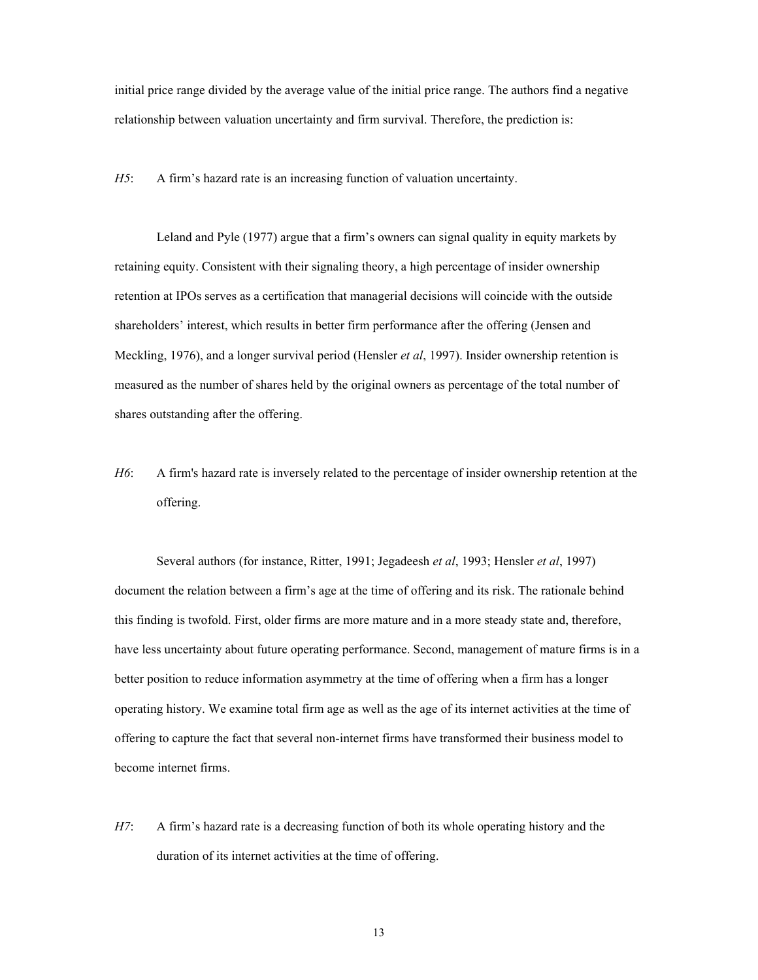initial price range divided by the average value of the initial price range. The authors find a negative relationship between valuation uncertainty and firm survival. Therefore, the prediction is:

*H5*: A firm's hazard rate is an increasing function of valuation uncertainty.

Leland and Pyle (1977) argue that a firm's owners can signal quality in equity markets by retaining equity. Consistent with their signaling theory, a high percentage of insider ownership retention at IPOs serves as a certification that managerial decisions will coincide with the outside shareholders' interest, which results in better firm performance after the offering (Jensen and Meckling, 1976), and a longer survival period (Hensler *et al*, 1997). Insider ownership retention is measured as the number of shares held by the original owners as percentage of the total number of shares outstanding after the offering.

*H6*: A firm's hazard rate is inversely related to the percentage of insider ownership retention at the offering.

Several authors (for instance, Ritter, 1991; Jegadeesh *et al*, 1993; Hensler *et al*, 1997) document the relation between a firm's age at the time of offering and its risk. The rationale behind this finding is twofold. First, older firms are more mature and in a more steady state and, therefore, have less uncertainty about future operating performance. Second, management of mature firms is in a better position to reduce information asymmetry at the time of offering when a firm has a longer operating history. We examine total firm age as well as the age of its internet activities at the time of offering to capture the fact that several non-internet firms have transformed their business model to become internet firms.

*H7*: A firm's hazard rate is a decreasing function of both its whole operating history and the duration of its internet activities at the time of offering.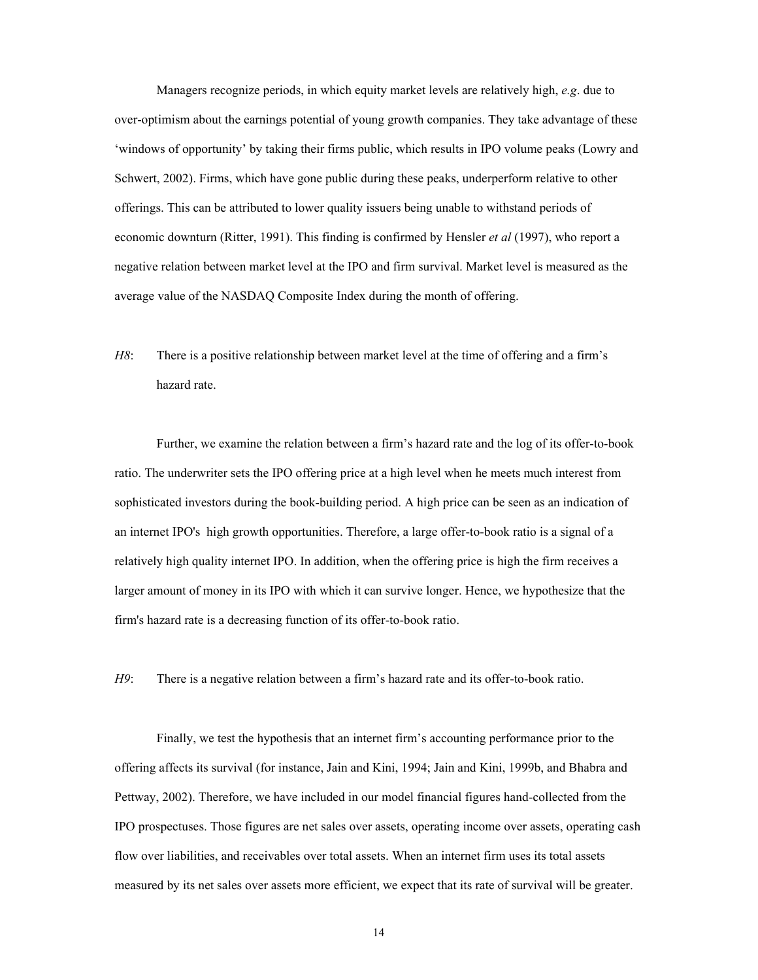Managers recognize periods, in which equity market levels are relatively high, *e.g*. due to over-optimism about the earnings potential of young growth companies. They take advantage of these 'windows of opportunity' by taking their firms public, which results in IPO volume peaks (Lowry and Schwert, 2002). Firms, which have gone public during these peaks, underperform relative to other offerings. This can be attributed to lower quality issuers being unable to withstand periods of economic downturn (Ritter, 1991). This finding is confirmed by Hensler *et al* (1997), who report a negative relation between market level at the IPO and firm survival. Market level is measured as the average value of the NASDAQ Composite Index during the month of offering.

*H8*: There is a positive relationship between market level at the time of offering and a firm's hazard rate.

Further, we examine the relation between a firm's hazard rate and the log of its offer-to-book ratio. The underwriter sets the IPO offering price at a high level when he meets much interest from sophisticated investors during the book-building period. A high price can be seen as an indication of an internet IPO's high growth opportunities. Therefore, a large offer-to-book ratio is a signal of a relatively high quality internet IPO. In addition, when the offering price is high the firm receives a larger amount of money in its IPO with which it can survive longer. Hence, we hypothesize that the firm's hazard rate is a decreasing function of its offer-to-book ratio.

*H9*: There is a negative relation between a firm's hazard rate and its offer-to-book ratio.

Finally, we test the hypothesis that an internet firm's accounting performance prior to the offering affects its survival (for instance, Jain and Kini, 1994; Jain and Kini, 1999b, and Bhabra and Pettway, 2002). Therefore, we have included in our model financial figures hand-collected from the IPO prospectuses. Those figures are net sales over assets, operating income over assets, operating cash flow over liabilities, and receivables over total assets. When an internet firm uses its total assets measured by its net sales over assets more efficient, we expect that its rate of survival will be greater.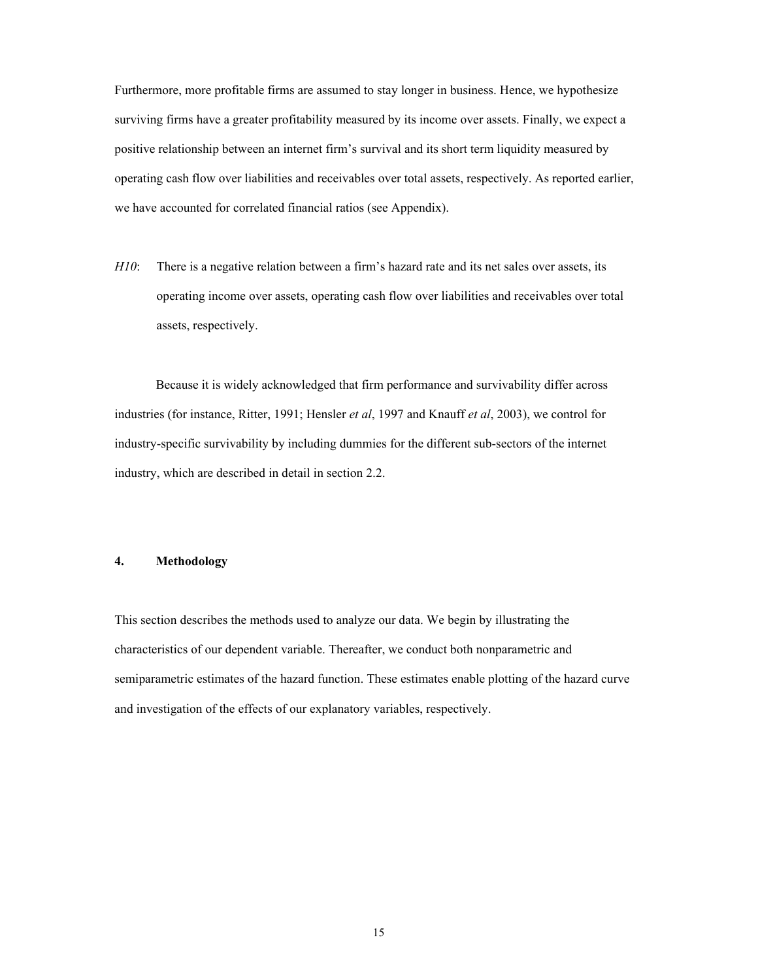Furthermore, more profitable firms are assumed to stay longer in business. Hence, we hypothesize surviving firms have a greater profitability measured by its income over assets. Finally, we expect a positive relationship between an internet firm's survival and its short term liquidity measured by operating cash flow over liabilities and receivables over total assets, respectively. As reported earlier, we have accounted for correlated financial ratios (see Appendix).

*H10*: There is a negative relation between a firm's hazard rate and its net sales over assets, its operating income over assets, operating cash flow over liabilities and receivables over total assets, respectively.

Because it is widely acknowledged that firm performance and survivability differ across industries (for instance, Ritter, 1991; Hensler *et al*, 1997 and Knauff *et al*, 2003), we control for industry-specific survivability by including dummies for the different sub-sectors of the internet industry, which are described in detail in section 2.2.

#### **4. Methodology**

This section describes the methods used to analyze our data. We begin by illustrating the characteristics of our dependent variable. Thereafter, we conduct both nonparametric and semiparametric estimates of the hazard function. These estimates enable plotting of the hazard curve and investigation of the effects of our explanatory variables, respectively.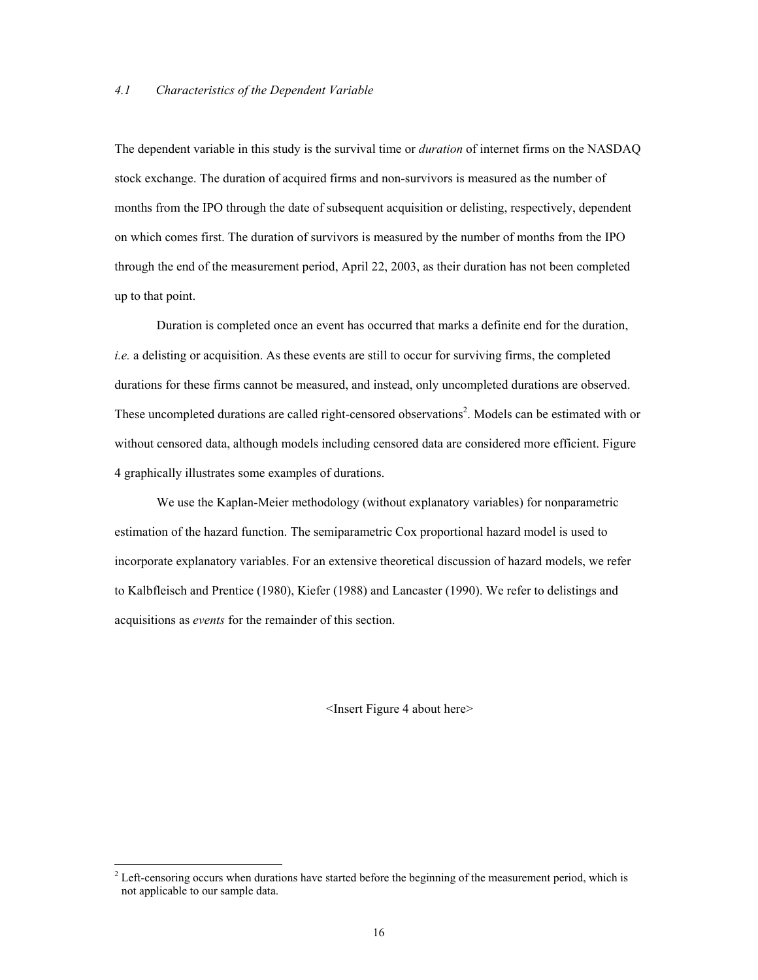The dependent variable in this study is the survival time or *duration* of internet firms on the NASDAQ stock exchange. The duration of acquired firms and non-survivors is measured as the number of months from the IPO through the date of subsequent acquisition or delisting, respectively, dependent on which comes first. The duration of survivors is measured by the number of months from the IPO through the end of the measurement period, April 22, 2003, as their duration has not been completed up to that point.

Duration is completed once an event has occurred that marks a definite end for the duration, *i.e.* a delisting or acquisition. As these events are still to occur for surviving firms, the completed durations for these firms cannot be measured, and instead, only uncompleted durations are observed. These uncompleted durations are called right-censored observations<sup>2</sup>. Models can be estimated with or without censored data, although models including censored data are considered more efficient. Figure 4 graphically illustrates some examples of durations.

We use the Kaplan-Meier methodology (without explanatory variables) for nonparametric estimation of the hazard function. The semiparametric Cox proportional hazard model is used to incorporate explanatory variables. For an extensive theoretical discussion of hazard models, we refer to Kalbfleisch and Prentice (1980), Kiefer (1988) and Lancaster (1990). We refer to delistings and acquisitions as *events* for the remainder of this section.

<Insert Figure 4 about here>

l

 $2^{2}$  Left-censoring occurs when durations have started before the beginning of the measurement period, which is not applicable to our sample data.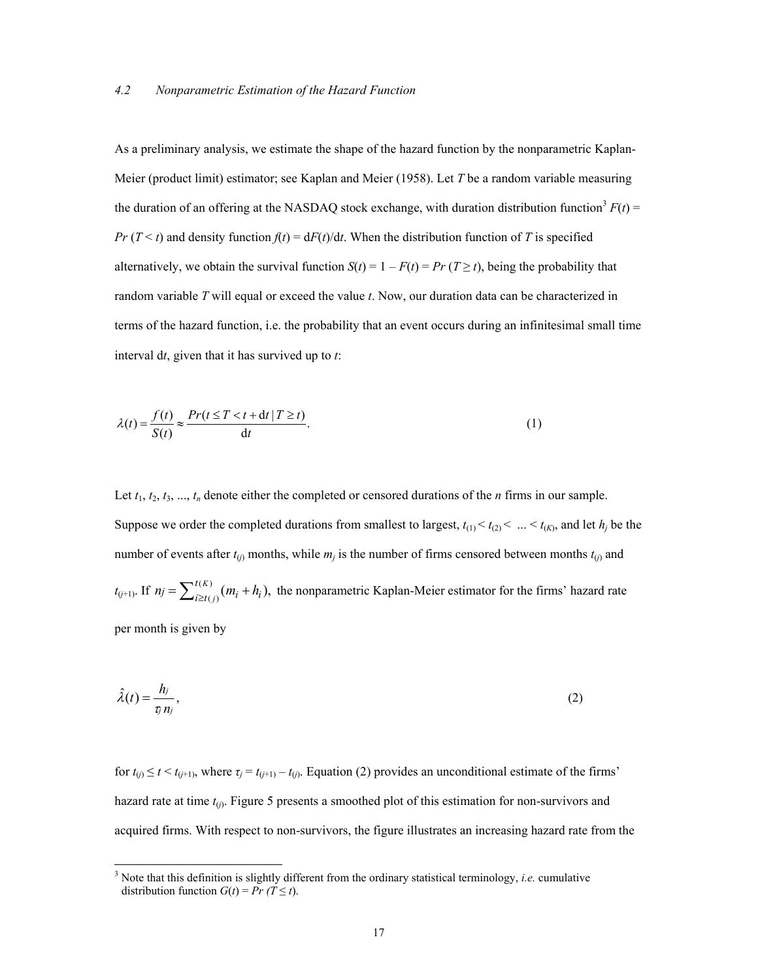As a preliminary analysis, we estimate the shape of the hazard function by the nonparametric Kaplan-Meier (product limit) estimator; see Kaplan and Meier (1958). Let *T* be a random variable measuring the duration of an offering at the NASDAQ stock exchange, with duration distribution function<sup>3</sup>  $F(t)$  = *Pr* ( $T < t$ ) and density function  $f(t) = dF(t)/dt$ . When the distribution function of *T* is specified alternatively, we obtain the survival function  $S(t) = 1 - F(t) = Pr(T \ge t)$ , being the probability that random variable *T* will equal or exceed the value *t*. Now, our duration data can be characterized in terms of the hazard function, i.e. the probability that an event occurs during an infinitesimal small time interval d*t*, given that it has survived up to *t*:

$$
\lambda(t) = \frac{f(t)}{S(t)} \approx \frac{Pr(t \le T < t + dt | T \ge t)}{dt}.
$$
\n(1)

Let  $t_1, t_2, t_3, \ldots, t_n$  denote either the completed or censored durations of the *n* firms in our sample. Suppose we order the completed durations from smallest to largest,  $t_{(1)} < t_{(2)} < ... < t_{(K)}$ , and let  $h_j$  be the number of events after  $t_{(j)}$  months, while  $m_j$  is the number of firms censored between months  $t_{(j)}$  and  $t_{(j+1)}$ . If  $n_j = \sum_{i \ge t(j)}^{t(K)} (m_i + h_i)$ ,  $n_j = \sum_{i \ge t(j)}^{t(K)} (m_i + h_i)$ , the nonparametric Kaplan-Meier estimator for the firms' hazard rate per month is given by

$$
\hat{\lambda}(t) = \frac{h_j}{\tau_j n_j},\tag{2}
$$

for  $t_{(i)} \le t < t_{(i+1)}$ , where  $\tau_j = t_{(i+1)} - t_{(i)}$ . Equation (2) provides an unconditional estimate of the firms' hazard rate at time  $t_{(j)}$ . Figure 5 presents a smoothed plot of this estimation for non-survivors and acquired firms. With respect to non-survivors, the figure illustrates an increasing hazard rate from the

l

<sup>3</sup> Note that this definition is slightly different from the ordinary statistical terminology, *i.e.* cumulative distribution function  $G(t) = Pr (T \le t)$ .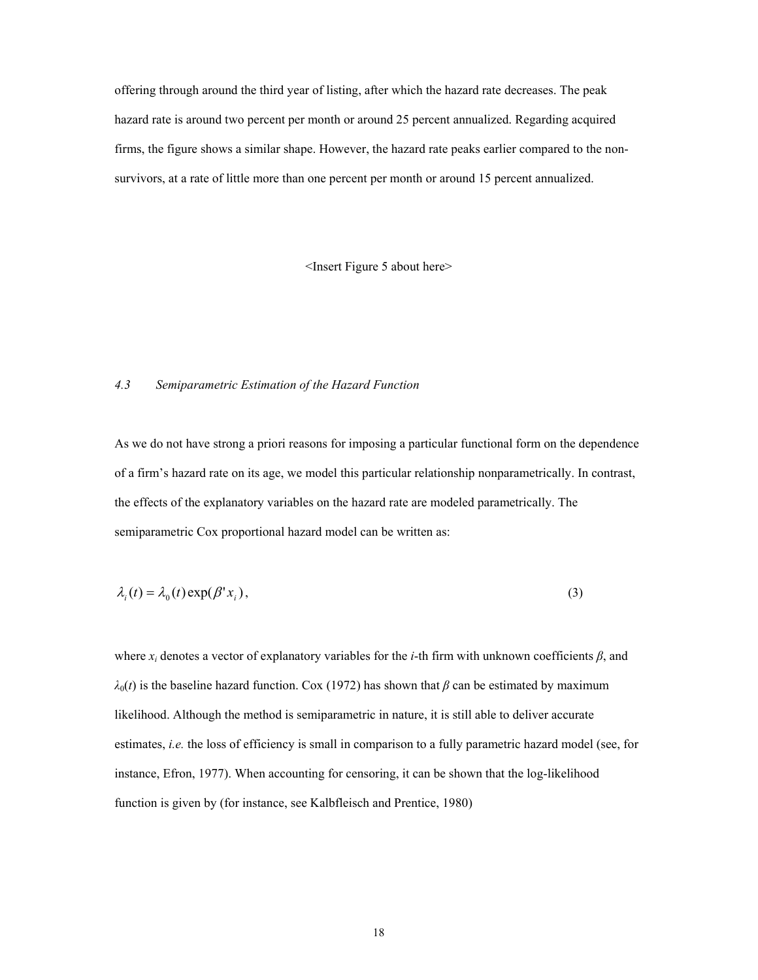offering through around the third year of listing, after which the hazard rate decreases. The peak hazard rate is around two percent per month or around 25 percent annualized. Regarding acquired firms, the figure shows a similar shape. However, the hazard rate peaks earlier compared to the nonsurvivors, at a rate of little more than one percent per month or around 15 percent annualized.

<Insert Figure 5 about here>

#### *4.3 Semiparametric Estimation of the Hazard Function*

As we do not have strong a priori reasons for imposing a particular functional form on the dependence of a firm's hazard rate on its age, we model this particular relationship nonparametrically. In contrast, the effects of the explanatory variables on the hazard rate are modeled parametrically. The semiparametric Cox proportional hazard model can be written as:

$$
\lambda_i(t) = \lambda_0(t) \exp(\beta' x_i),\tag{3}
$$

where *xi* denotes a vector of explanatory variables for the *i*-th firm with unknown coefficients *β*, and  $λ<sub>0</sub>(t)$  is the baseline hazard function. Cox (1972) has shown that *β* can be estimated by maximum likelihood. Although the method is semiparametric in nature, it is still able to deliver accurate estimates, *i.e.* the loss of efficiency is small in comparison to a fully parametric hazard model (see, for instance, Efron, 1977). When accounting for censoring, it can be shown that the log-likelihood function is given by (for instance, see Kalbfleisch and Prentice, 1980)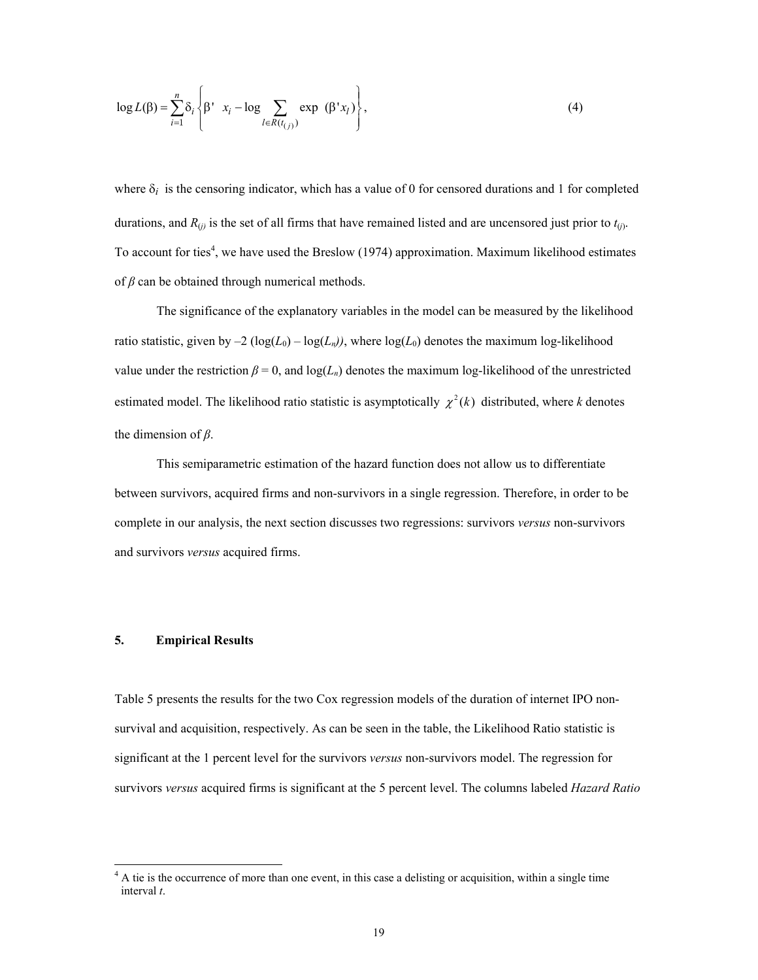$$
\log L(\beta) = \sum_{i=1}^{n} \delta_i \left\{ \beta' \mathbf{x}_i - \log \sum_{l \in R(t_{(j)})} \exp (\beta' x_l) \right\},\tag{4}
$$

where  $\delta_i$  is the censoring indicator, which has a value of 0 for censored durations and 1 for completed durations, and  $R_{(i)}$  is the set of all firms that have remained listed and are uncensored just prior to  $t_{(i)}$ . To account for ties<sup>4</sup>, we have used the Breslow (1974) approximation. Maximum likelihood estimates of *β* can be obtained through numerical methods.

The significance of the explanatory variables in the model can be measured by the likelihood ratio statistic, given by  $-2 \left( \log(L_0) - \log(L_n) \right)$ , where  $\log(L_0)$  denotes the maximum log-likelihood value under the restriction  $\beta = 0$ , and  $log(L_n)$  denotes the maximum log-likelihood of the unrestricted estimated model. The likelihood ratio statistic is asymptotically  $\chi^2(k)$  distributed, where *k* denotes the dimension of *β*.

This semiparametric estimation of the hazard function does not allow us to differentiate between survivors, acquired firms and non-survivors in a single regression. Therefore, in order to be complete in our analysis, the next section discusses two regressions: survivors *versus* non-survivors and survivors *versus* acquired firms.

#### **5. Empirical Results**

l

Table 5 presents the results for the two Cox regression models of the duration of internet IPO nonsurvival and acquisition, respectively. As can be seen in the table, the Likelihood Ratio statistic is significant at the 1 percent level for the survivors *versus* non-survivors model. The regression for survivors *versus* acquired firms is significant at the 5 percent level. The columns labeled *Hazard Ratio* 

<sup>&</sup>lt;sup>4</sup> A tie is the occurrence of more than one event, in this case a delisting or acquisition, within a single time interval *t*.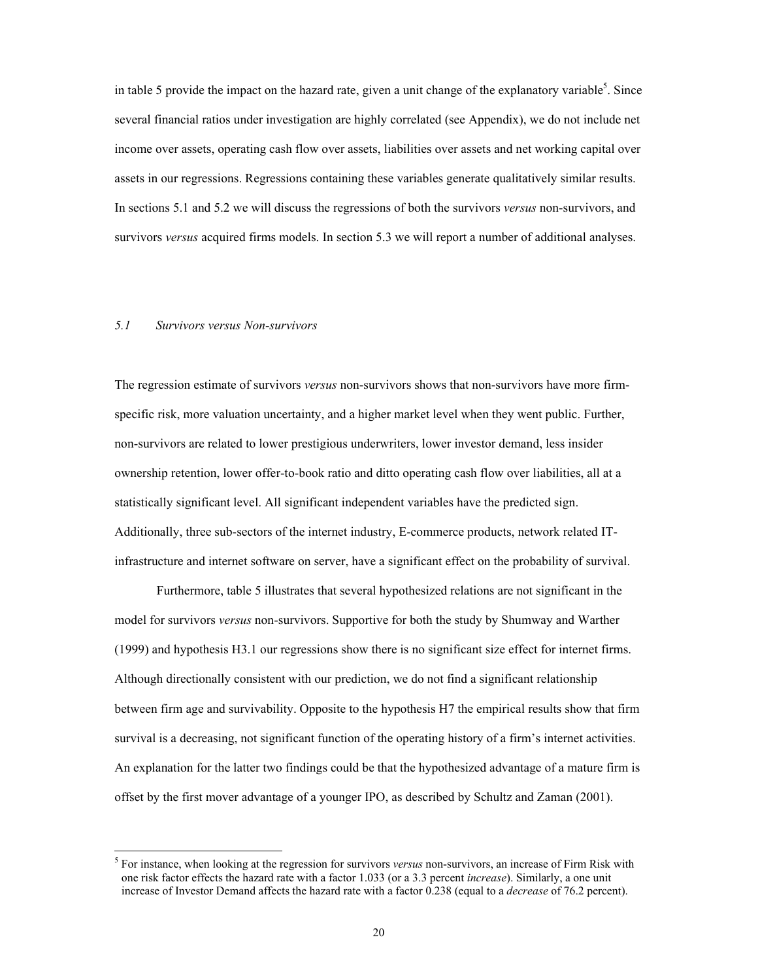in table 5 provide the impact on the hazard rate, given a unit change of the explanatory variable<sup>5</sup>. Since several financial ratios under investigation are highly correlated (see Appendix), we do not include net income over assets, operating cash flow over assets, liabilities over assets and net working capital over assets in our regressions. Regressions containing these variables generate qualitatively similar results. In sections 5.1 and 5.2 we will discuss the regressions of both the survivors *versus* non-survivors, and survivors *versus* acquired firms models. In section 5.3 we will report a number of additional analyses.

#### *5.1 Survivors versus Non-survivors*

l

The regression estimate of survivors *versus* non-survivors shows that non-survivors have more firmspecific risk, more valuation uncertainty, and a higher market level when they went public. Further, non-survivors are related to lower prestigious underwriters, lower investor demand, less insider ownership retention, lower offer-to-book ratio and ditto operating cash flow over liabilities, all at a statistically significant level. All significant independent variables have the predicted sign. Additionally, three sub-sectors of the internet industry, E-commerce products, network related ITinfrastructure and internet software on server, have a significant effect on the probability of survival.

Furthermore, table 5 illustrates that several hypothesized relations are not significant in the model for survivors *versus* non-survivors. Supportive for both the study by Shumway and Warther (1999) and hypothesis H3.1 our regressions show there is no significant size effect for internet firms. Although directionally consistent with our prediction, we do not find a significant relationship between firm age and survivability. Opposite to the hypothesis H7 the empirical results show that firm survival is a decreasing, not significant function of the operating history of a firm's internet activities. An explanation for the latter two findings could be that the hypothesized advantage of a mature firm is offset by the first mover advantage of a younger IPO, as described by Schultz and Zaman (2001).

<sup>5</sup> For instance, when looking at the regression for survivors *versus* non-survivors, an increase of Firm Risk with one risk factor effects the hazard rate with a factor 1.033 (or a 3.3 percent *increase*). Similarly, a one unit increase of Investor Demand affects the hazard rate with a factor 0.238 (equal to a *decrease* of 76.2 percent).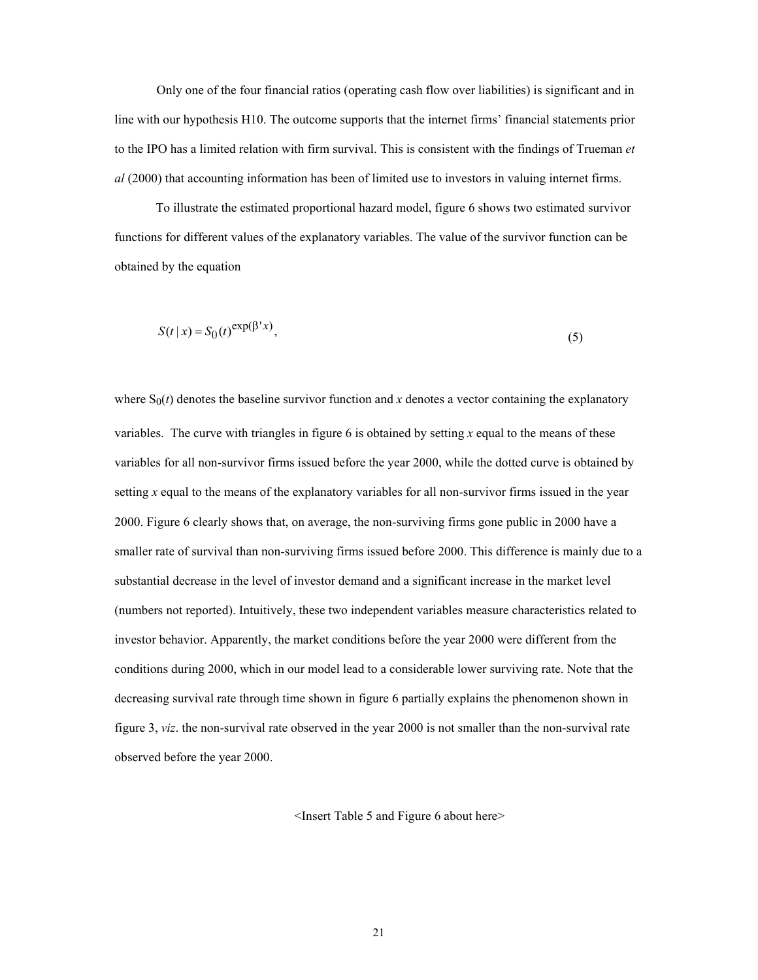Only one of the four financial ratios (operating cash flow over liabilities) is significant and in line with our hypothesis H10. The outcome supports that the internet firms' financial statements prior to the IPO has a limited relation with firm survival. This is consistent with the findings of Trueman *et al* (2000) that accounting information has been of limited use to investors in valuing internet firms.

To illustrate the estimated proportional hazard model, figure 6 shows two estimated survivor functions for different values of the explanatory variables. The value of the survivor function can be obtained by the equation

$$
S(t \mid x) = S_0(t)^{\exp(\beta' x)},\tag{5}
$$

where  $S_0(t)$  denotes the baseline survivor function and *x* denotes a vector containing the explanatory variables. The curve with triangles in figure 6 is obtained by setting *x* equal to the means of these variables for all non-survivor firms issued before the year 2000, while the dotted curve is obtained by setting *x* equal to the means of the explanatory variables for all non-survivor firms issued in the year 2000. Figure 6 clearly shows that, on average, the non-surviving firms gone public in 2000 have a smaller rate of survival than non-surviving firms issued before 2000. This difference is mainly due to a substantial decrease in the level of investor demand and a significant increase in the market level (numbers not reported). Intuitively, these two independent variables measure characteristics related to investor behavior. Apparently, the market conditions before the year 2000 were different from the conditions during 2000, which in our model lead to a considerable lower surviving rate. Note that the decreasing survival rate through time shown in figure 6 partially explains the phenomenon shown in figure 3, *viz*. the non-survival rate observed in the year 2000 is not smaller than the non-survival rate observed before the year 2000.

<Insert Table 5 and Figure 6 about here>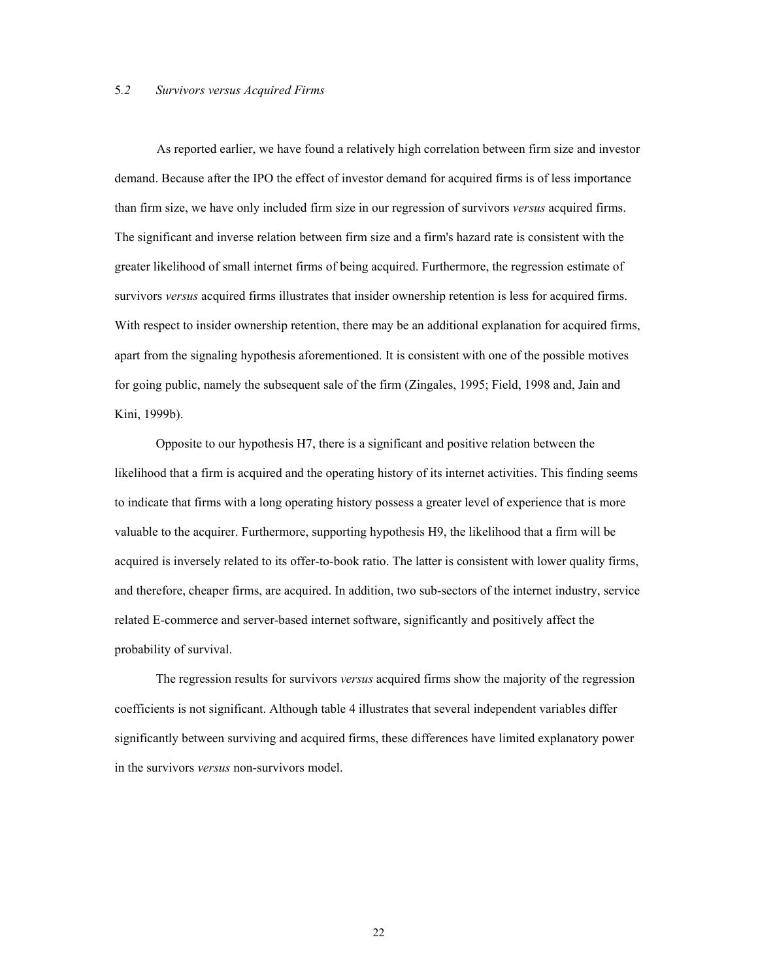#### 5*.2 Survivors versus Acquired Firms*

As reported earlier, we have found a relatively high correlation between firm size and investor demand. Because after the IPO the effect of investor demand for acquired firms is of less importance than firm size, we have only included firm size in our regression of survivors *versus* acquired firms. The significant and inverse relation between firm size and a firm's hazard rate is consistent with the greater likelihood of small internet firms of being acquired. Furthermore, the regression estimate of survivors *versus* acquired firms illustrates that insider ownership retention is less for acquired firms. With respect to insider ownership retention, there may be an additional explanation for acquired firms, apart from the signaling hypothesis aforementioned. It is consistent with one of the possible motives for going public, namely the subsequent sale of the firm (Zingales, 1995; Field, 1998 and, Jain and Kini, 1999b).

Opposite to our hypothesis H7, there is a significant and positive relation between the likelihood that a firm is acquired and the operating history of its internet activities. This finding seems to indicate that firms with a long operating history possess a greater level of experience that is more valuable to the acquirer. Furthermore, supporting hypothesis H9, the likelihood that a firm will be acquired is inversely related to its offer-to-book ratio. The latter is consistent with lower quality firms, and therefore, cheaper firms, are acquired. In addition, two sub-sectors of the internet industry, service related E-commerce and server-based internet software, significantly and positively affect the probability of survival.

 The regression results for survivors *versus* acquired firms show the majority of the regression coefficients is not significant. Although table 4 illustrates that several independent variables differ significantly between surviving and acquired firms, these differences have limited explanatory power in the survivors *versus* non-survivors model.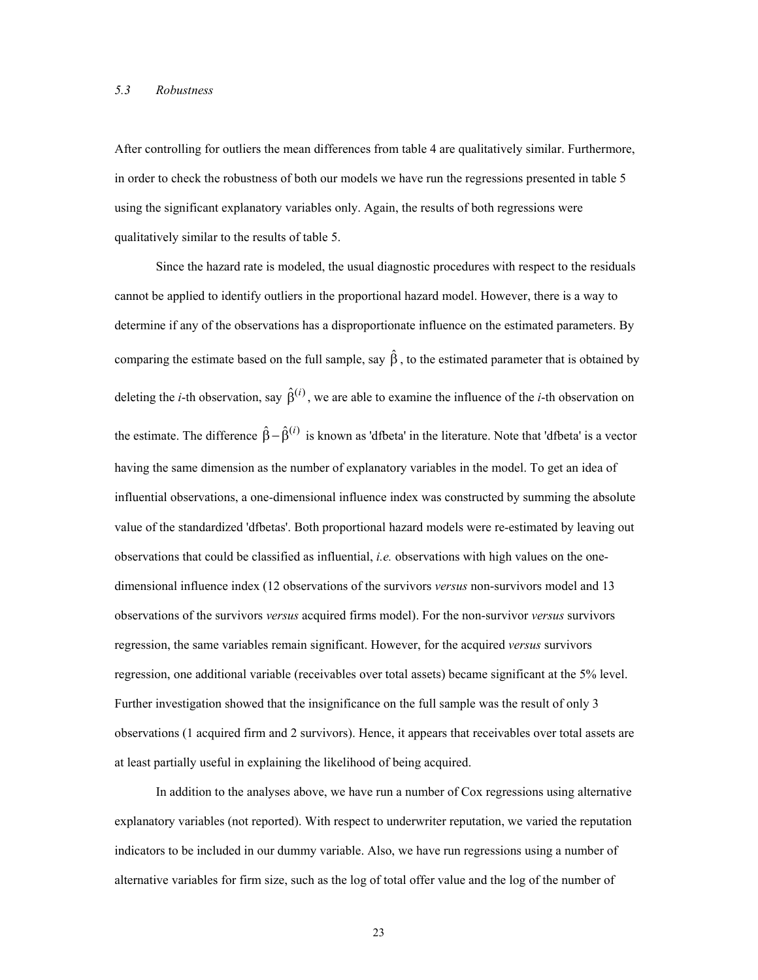#### *5.3 Robustness*

After controlling for outliers the mean differences from table 4 are qualitatively similar. Furthermore, in order to check the robustness of both our models we have run the regressions presented in table 5 using the significant explanatory variables only. Again, the results of both regressions were qualitatively similar to the results of table 5.

Since the hazard rate is modeled, the usual diagnostic procedures with respect to the residuals cannot be applied to identify outliers in the proportional hazard model. However, there is a way to determine if any of the observations has a disproportionate influence on the estimated parameters. By comparing the estimate based on the full sample, say  $\hat{\beta}$ , to the estimated parameter that is obtained by deleting the *i*-th observation, say  $\hat{\beta}^{(i)}$ , we are able to examine the influence of the *i*-th observation on the estimate. The difference  $\hat{\beta} - \hat{\beta}^{(i)}$  is known as 'dfbeta' in the literature. Note that 'dfbeta' is a vector having the same dimension as the number of explanatory variables in the model. To get an idea of influential observations, a one-dimensional influence index was constructed by summing the absolute value of the standardized 'dfbetas'. Both proportional hazard models were re-estimated by leaving out observations that could be classified as influential, *i.e.* observations with high values on the onedimensional influence index (12 observations of the survivors *versus* non-survivors model and 13 observations of the survivors *versus* acquired firms model). For the non-survivor *versus* survivors regression, the same variables remain significant. However, for the acquired *versus* survivors regression, one additional variable (receivables over total assets) became significant at the 5% level. Further investigation showed that the insignificance on the full sample was the result of only 3 observations (1 acquired firm and 2 survivors). Hence, it appears that receivables over total assets are at least partially useful in explaining the likelihood of being acquired.

In addition to the analyses above, we have run a number of Cox regressions using alternative explanatory variables (not reported). With respect to underwriter reputation, we varied the reputation indicators to be included in our dummy variable. Also, we have run regressions using a number of alternative variables for firm size, such as the log of total offer value and the log of the number of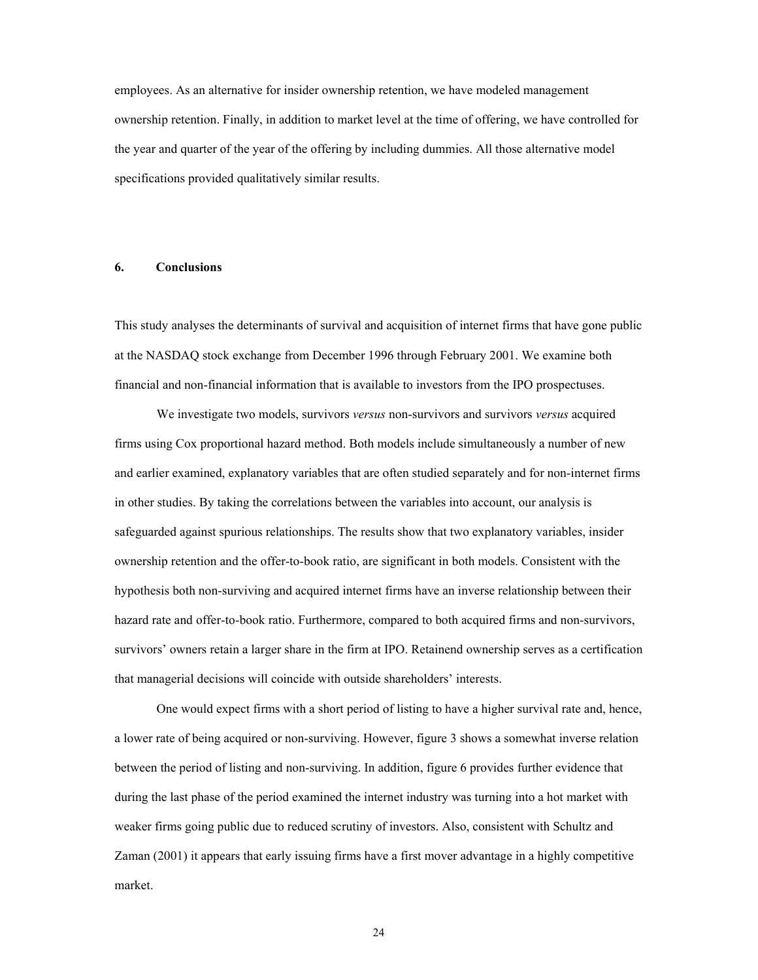employees. As an alternative for insider ownership retention, we have modeled management ownership retention. Finally, in addition to market level at the time of offering, we have controlled for the year and quarter of the year of the offering by including dummies. All those alternative model specifications provided qualitatively similar results.

#### **6. Conclusions**

This study analyses the determinants of survival and acquisition of internet firms that have gone public at the NASDAQ stock exchange from December 1996 through February 2001. We examine both financial and non-financial information that is available to investors from the IPO prospectuses.

We investigate two models, survivors *versus* non-survivors and survivors *versus* acquired firms using Cox proportional hazard method. Both models include simultaneously a number of new and earlier examined, explanatory variables that are often studied separately and for non-internet firms in other studies. By taking the correlations between the variables into account, our analysis is safeguarded against spurious relationships. The results show that two explanatory variables, insider ownership retention and the offer-to-book ratio, are significant in both models. Consistent with the hypothesis both non-surviving and acquired internet firms have an inverse relationship between their hazard rate and offer-to-book ratio. Furthermore, compared to both acquired firms and non-survivors, survivors' owners retain a larger share in the firm at IPO. Retainend ownership serves as a certification that managerial decisions will coincide with outside shareholders' interests.

One would expect firms with a short period of listing to have a higher survival rate and, hence, a lower rate of being acquired or non-surviving. However, figure 3 shows a somewhat inverse relation between the period of listing and non-surviving. In addition, figure 6 provides further evidence that during the last phase of the period examined the internet industry was turning into a hot market with weaker firms going public due to reduced scrutiny of investors. Also, consistent with Schultz and Zaman (2001) it appears that early issuing firms have a first mover advantage in a highly competitive market.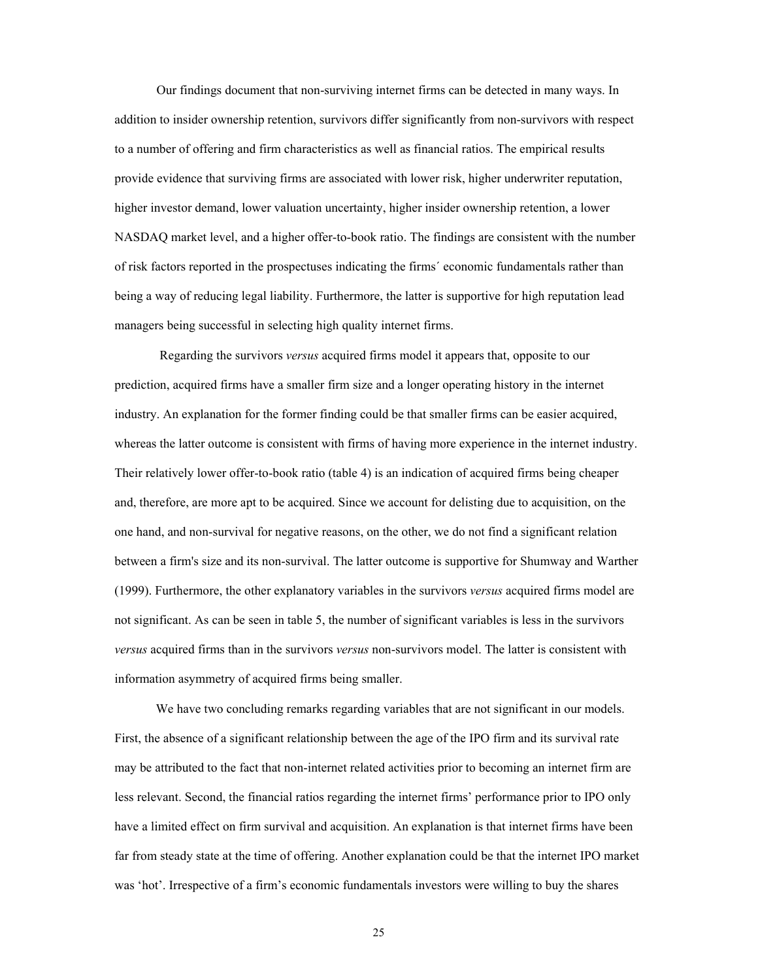Our findings document that non-surviving internet firms can be detected in many ways. In addition to insider ownership retention, survivors differ significantly from non-survivors with respect to a number of offering and firm characteristics as well as financial ratios. The empirical results provide evidence that surviving firms are associated with lower risk, higher underwriter reputation, higher investor demand, lower valuation uncertainty, higher insider ownership retention, a lower NASDAQ market level, and a higher offer-to-book ratio. The findings are consistent with the number of risk factors reported in the prospectuses indicating the firms´ economic fundamentals rather than being a way of reducing legal liability. Furthermore, the latter is supportive for high reputation lead managers being successful in selecting high quality internet firms.

 Regarding the survivors *versus* acquired firms model it appears that, opposite to our prediction, acquired firms have a smaller firm size and a longer operating history in the internet industry. An explanation for the former finding could be that smaller firms can be easier acquired, whereas the latter outcome is consistent with firms of having more experience in the internet industry. Their relatively lower offer-to-book ratio (table 4) is an indication of acquired firms being cheaper and, therefore, are more apt to be acquired. Since we account for delisting due to acquisition, on the one hand, and non-survival for negative reasons, on the other, we do not find a significant relation between a firm's size and its non-survival. The latter outcome is supportive for Shumway and Warther (1999). Furthermore, the other explanatory variables in the survivors *versus* acquired firms model are not significant. As can be seen in table 5, the number of significant variables is less in the survivors *versus* acquired firms than in the survivors *versus* non-survivors model. The latter is consistent with information asymmetry of acquired firms being smaller.

We have two concluding remarks regarding variables that are not significant in our models. First, the absence of a significant relationship between the age of the IPO firm and its survival rate may be attributed to the fact that non-internet related activities prior to becoming an internet firm are less relevant. Second, the financial ratios regarding the internet firms' performance prior to IPO only have a limited effect on firm survival and acquisition. An explanation is that internet firms have been far from steady state at the time of offering. Another explanation could be that the internet IPO market was 'hot'. Irrespective of a firm's economic fundamentals investors were willing to buy the shares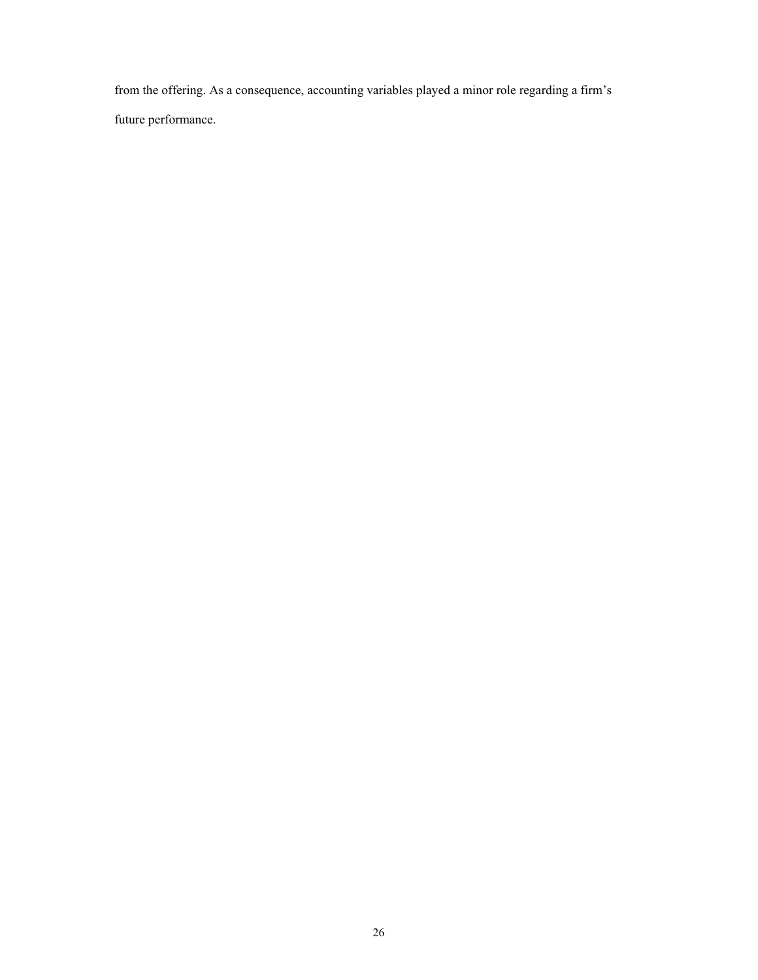from the offering. As a consequence, accounting variables played a minor role regarding a firm's future performance.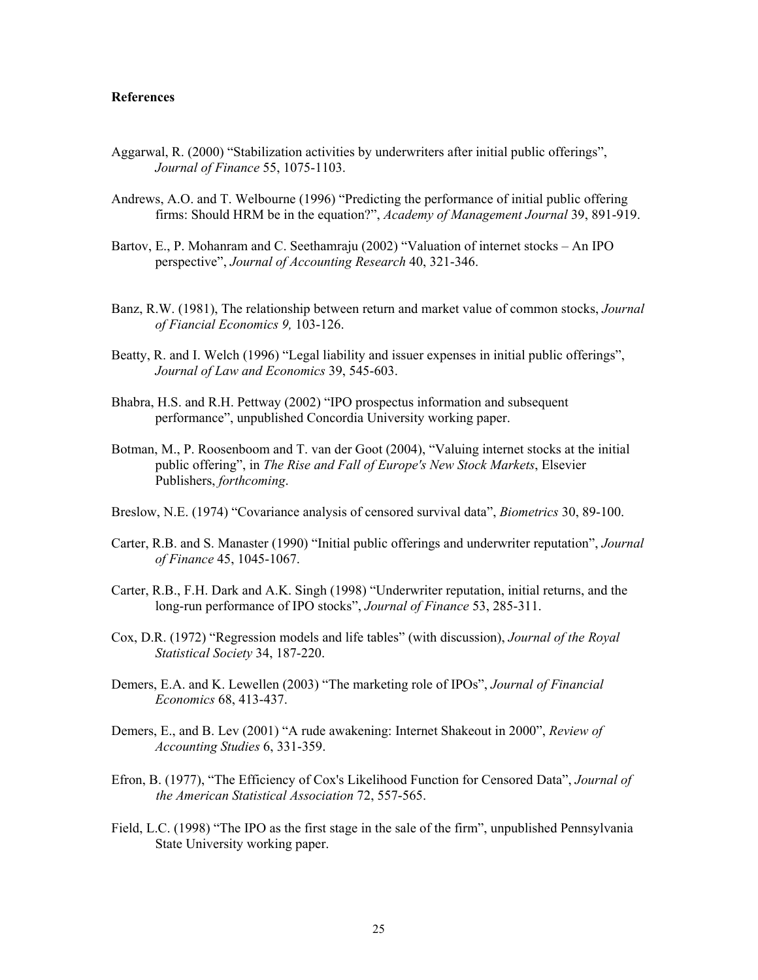#### **References**

- Aggarwal, R. (2000) "Stabilization activities by underwriters after initial public offerings", *Journal of Finance* 55, 1075-1103.
- Andrews, A.O. and T. Welbourne (1996) "Predicting the performance of initial public offering firms: Should HRM be in the equation?", *Academy of Management Journal* 39, 891-919.
- Bartov, E., P. Mohanram and C. Seethamraju (2002) "Valuation of internet stocks An IPO perspective", *Journal of Accounting Research* 40, 321-346.
- Banz, R.W. (1981), The relationship between return and market value of common stocks, *Journal of Fiancial Economics 9,* 103-126.
- Beatty, R. and I. Welch (1996) "Legal liability and issuer expenses in initial public offerings", *Journal of Law and Economics* 39, 545-603.
- Bhabra, H.S. and R.H. Pettway (2002) "IPO prospectus information and subsequent performance", unpublished Concordia University working paper.
- Botman, M., P. Roosenboom and T. van der Goot (2004), "Valuing internet stocks at the initial public offering", in *The Rise and Fall of Europe's New Stock Markets*, Elsevier Publishers, *forthcoming*.
- Breslow, N.E. (1974) "Covariance analysis of censored survival data", *Biometrics* 30, 89-100.
- Carter, R.B. and S. Manaster (1990) "Initial public offerings and underwriter reputation", *Journal of Finance* 45, 1045-1067.
- Carter, R.B., F.H. Dark and A.K. Singh (1998) "Underwriter reputation, initial returns, and the long-run performance of IPO stocks", *Journal of Finance* 53, 285-311.
- Cox, D.R. (1972) "Regression models and life tables" (with discussion), *Journal of the Royal Statistical Society* 34, 187-220.
- Demers, E.A. and K. Lewellen (2003) "The marketing role of IPOs", *Journal of Financial Economics* 68, 413-437.
- Demers, E., and B. Lev (2001) "A rude awakening: Internet Shakeout in 2000", *Review of Accounting Studies* 6, 331-359.
- Efron, B. (1977), "The Efficiency of Cox's Likelihood Function for Censored Data", *Journal of the American Statistical Association* 72, 557-565.
- Field, L.C. (1998) "The IPO as the first stage in the sale of the firm", unpublished Pennsylvania State University working paper.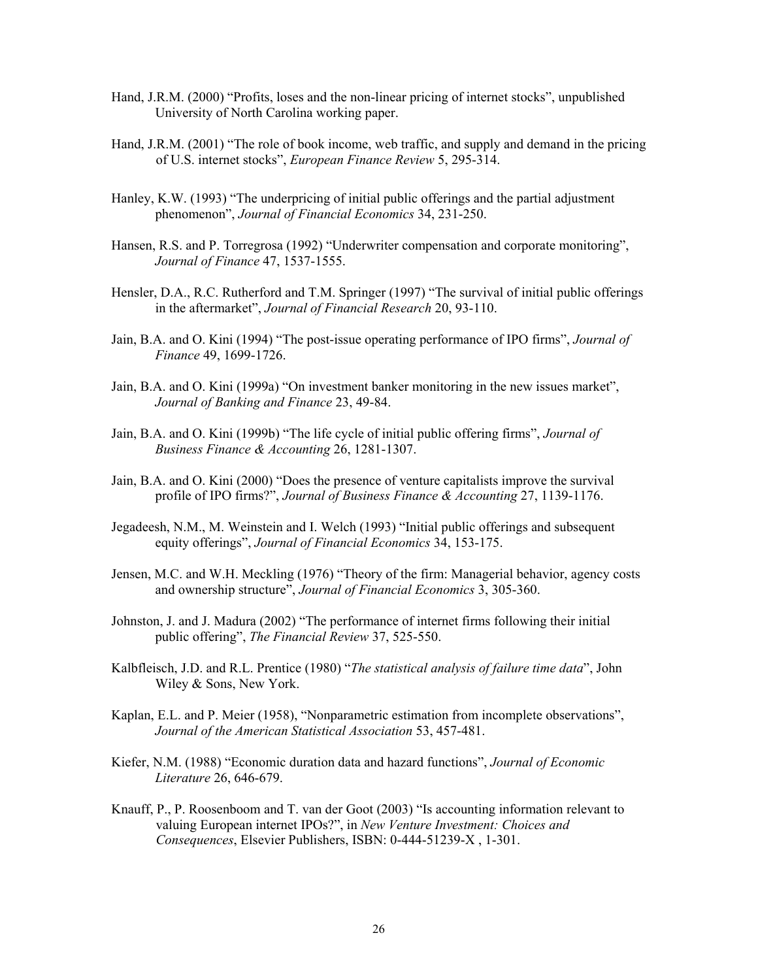- Hand, J.R.M. (2000) "Profits, loses and the non-linear pricing of internet stocks", unpublished University of North Carolina working paper.
- Hand, J.R.M. (2001) "The role of book income, web traffic, and supply and demand in the pricing of U.S. internet stocks", *European Finance Review* 5, 295-314.
- Hanley, K.W. (1993) "The underpricing of initial public offerings and the partial adjustment phenomenon", *Journal of Financial Economics* 34, 231-250.
- Hansen, R.S. and P. Torregrosa (1992) "Underwriter compensation and corporate monitoring", *Journal of Finance* 47, 1537-1555.
- Hensler, D.A., R.C. Rutherford and T.M. Springer (1997) "The survival of initial public offerings in the aftermarket", *Journal of Financial Research* 20, 93-110.
- Jain, B.A. and O. Kini (1994) "The post-issue operating performance of IPO firms", *Journal of Finance* 49, 1699-1726.
- Jain, B.A. and O. Kini (1999a) "On investment banker monitoring in the new issues market", *Journal of Banking and Finance* 23, 49-84.
- Jain, B.A. and O. Kini (1999b) "The life cycle of initial public offering firms", *Journal of Business Finance & Accounting* 26, 1281-1307.
- Jain, B.A. and O. Kini (2000) "Does the presence of venture capitalists improve the survival profile of IPO firms?", *Journal of Business Finance & Accounting* 27, 1139-1176.
- Jegadeesh, N.M., M. Weinstein and I. Welch (1993) "Initial public offerings and subsequent equity offerings", *Journal of Financial Economics* 34, 153-175.
- Jensen, M.C. and W.H. Meckling (1976) "Theory of the firm: Managerial behavior, agency costs and ownership structure", *Journal of Financial Economics* 3, 305-360.
- Johnston, J. and J. Madura (2002) "The performance of internet firms following their initial public offering", *The Financial Review* 37, 525-550.
- Kalbfleisch, J.D. and R.L. Prentice (1980) "*The statistical analysis of failure time data*", John Wiley & Sons, New York.
- Kaplan, E.L. and P. Meier (1958), "Nonparametric estimation from incomplete observations", *Journal of the American Statistical Association* 53, 457-481.
- Kiefer, N.M. (1988) "Economic duration data and hazard functions", *Journal of Economic Literature* 26, 646-679.
- Knauff, P., P. Roosenboom and T. van der Goot (2003) "Is accounting information relevant to valuing European internet IPOs?", in *New Venture Investment: Choices and Consequences*, Elsevier Publishers, ISBN: 0-444-51239-X , 1-301.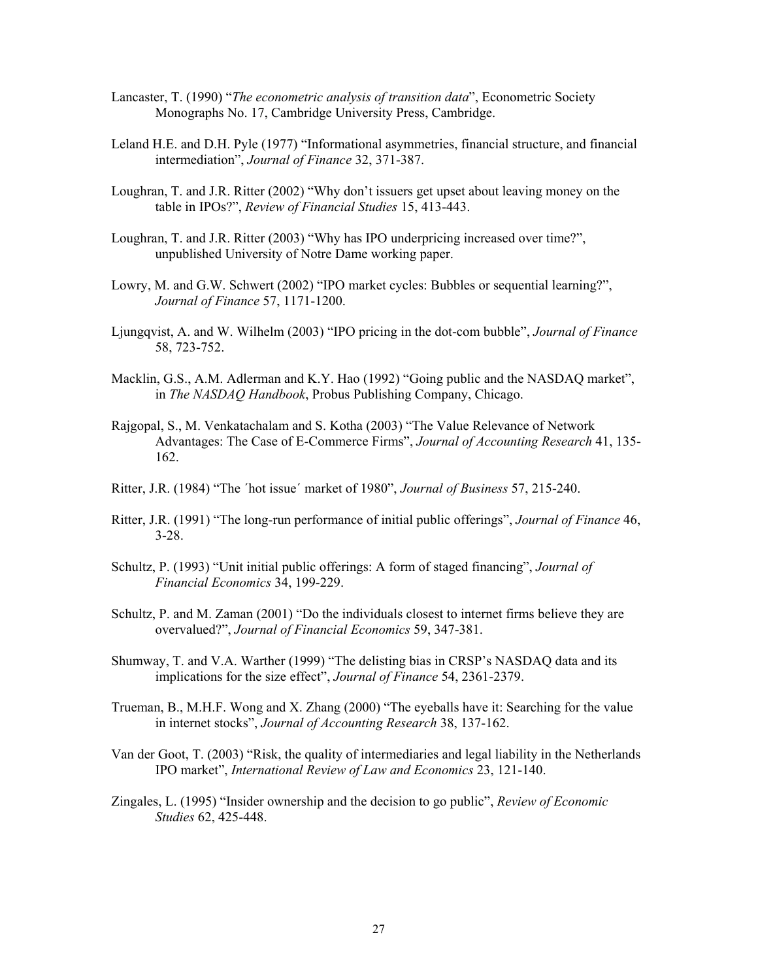- Lancaster, T. (1990) "*The econometric analysis of transition data*", Econometric Society Monographs No. 17, Cambridge University Press, Cambridge.
- Leland H.E. and D.H. Pyle (1977) "Informational asymmetries, financial structure, and financial intermediation", *Journal of Finance* 32, 371-387.
- Loughran, T. and J.R. Ritter (2002) "Why don't issuers get upset about leaving money on the table in IPOs?", *Review of Financial Studies* 15, 413-443.
- Loughran, T. and J.R. Ritter (2003) "Why has IPO underpricing increased over time?", unpublished University of Notre Dame working paper.
- Lowry, M. and G.W. Schwert (2002) "IPO market cycles: Bubbles or sequential learning?", *Journal of Finance* 57, 1171-1200.
- Ljungqvist, A. and W. Wilhelm (2003) "IPO pricing in the dot-com bubble", *Journal of Finance* 58, 723-752.
- Macklin, G.S., A.M. Adlerman and K.Y. Hao (1992) "Going public and the NASDAQ market", in *The NASDAQ Handbook*, Probus Publishing Company, Chicago.
- Rajgopal, S., M. Venkatachalam and S. Kotha (2003) "The Value Relevance of Network Advantages: The Case of E-Commerce Firms", *Journal of Accounting Research* 41, 135- 162.
- Ritter, J.R. (1984) "The ´hot issue´ market of 1980", *Journal of Business* 57, 215-240.
- Ritter, J.R. (1991) "The long-run performance of initial public offerings", *Journal of Finance* 46, 3-28.
- Schultz, P. (1993) "Unit initial public offerings: A form of staged financing", *Journal of Financial Economics* 34, 199-229.
- Schultz, P. and M. Zaman (2001) "Do the individuals closest to internet firms believe they are overvalued?", *Journal of Financial Economics* 59, 347-381.
- Shumway, T. and V.A. Warther (1999) "The delisting bias in CRSP's NASDAQ data and its implications for the size effect", *Journal of Finance* 54, 2361-2379.
- Trueman, B., M.H.F. Wong and X. Zhang (2000) "The eyeballs have it: Searching for the value in internet stocks", *Journal of Accounting Research* 38, 137-162.
- Van der Goot, T. (2003) "Risk, the quality of intermediaries and legal liability in the Netherlands IPO market", *International Review of Law and Economics* 23, 121-140.
- Zingales, L. (1995) "Insider ownership and the decision to go public", *Review of Economic Studies* 62, 425-448.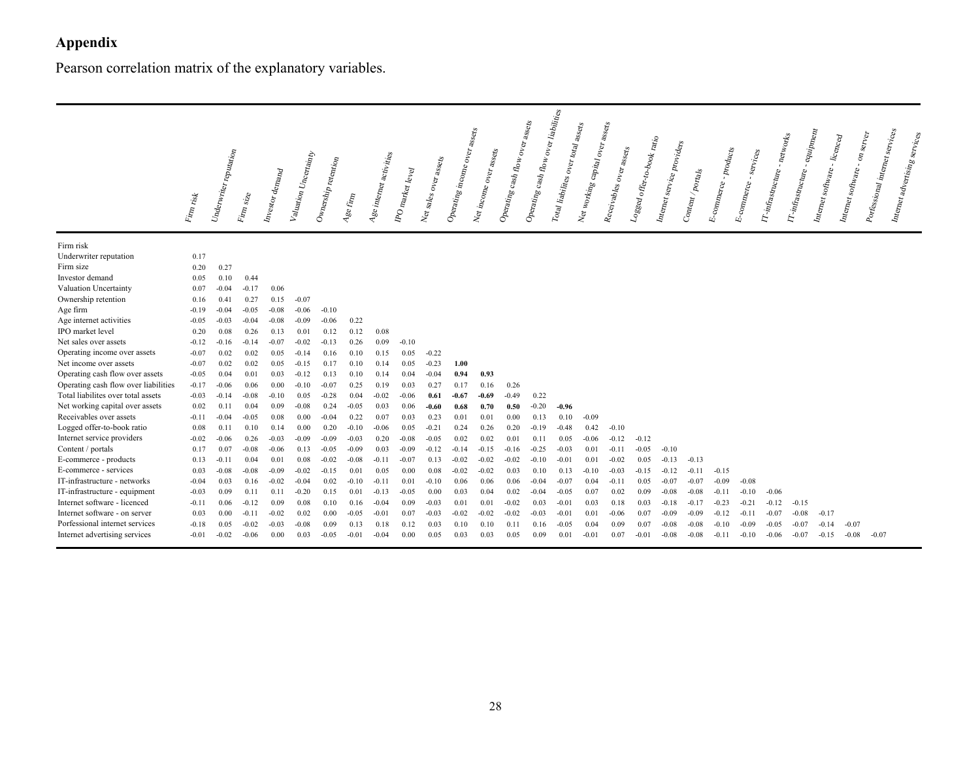# **Appendix**

Pearson correlation matrix of the explanatory variables.

|                                      | ${F_{l m}}_{r l s k}$ | $\begin{aligned} \textit{Underwtrier}\ \textit{reputation}\end{aligned}$ | Firm size | Investor demand | Valuation Uncertainty | Ownership retention | Age $f_{\rm imp}$ | Age internet activities | IPO market level | Net sales over assets | $\label{eq:optimal} Opcrating\ incomp\ over\ as\ erg$ | $\begin{aligned} \label{eq:1} & Nei\,in\textit{opne}\,o_{Ver}\,_{asse}_{ls} \end{aligned}$ | Operating cash flow over assets | Operating cash flow over liabilities | Total liabilites over total assets | Net working capital over assets | Receivables over assets | $\begin{aligned} L_{^{O\!S\!S\!C\!G}} &\phantom{=} of \hspace{.01cm} \alpha_1 \cdot t_0 \cdot b_0 \alpha_k \phantom{.} r_{\!A} \cdot \phantom{.} t_0 \end{aligned}$ | Internet service providers | $_{_{{\it On}t_{e_{nl}}/_{_{\it Po_{tag}}}}}$ | E-commerce - products | services<br>$E\text{-}comm_{\text{cyc}}$ $\text{-}$ $s$ | <i>Vinfrastructure - networks</i> | <i>TT-infrastructure</i> . | $e^{2\pi i p}$<br>Internet software. | $\cdot$ -licenced<br>Internet software - | Portessional internet services<br>$\boldsymbol{o}_{n}$ server | Internet adventising services |
|--------------------------------------|-----------------------|--------------------------------------------------------------------------|-----------|-----------------|-----------------------|---------------------|-------------------|-------------------------|------------------|-----------------------|-------------------------------------------------------|--------------------------------------------------------------------------------------------|---------------------------------|--------------------------------------|------------------------------------|---------------------------------|-------------------------|---------------------------------------------------------------------------------------------------------------------------------------------------------------------|----------------------------|-----------------------------------------------|-----------------------|---------------------------------------------------------|-----------------------------------|----------------------------|--------------------------------------|------------------------------------------|---------------------------------------------------------------|-------------------------------|
| Firm risk                            |                       |                                                                          |           |                 |                       |                     |                   |                         |                  |                       |                                                       |                                                                                            |                                 |                                      |                                    |                                 |                         |                                                                                                                                                                     |                            |                                               |                       |                                                         |                                   |                            |                                      |                                          |                                                               |                               |
| Underwriter reputation               | 0.17                  |                                                                          |           |                 |                       |                     |                   |                         |                  |                       |                                                       |                                                                                            |                                 |                                      |                                    |                                 |                         |                                                                                                                                                                     |                            |                                               |                       |                                                         |                                   |                            |                                      |                                          |                                                               |                               |
| Firm size                            | 0.20                  | 0.27                                                                     |           |                 |                       |                     |                   |                         |                  |                       |                                                       |                                                                                            |                                 |                                      |                                    |                                 |                         |                                                                                                                                                                     |                            |                                               |                       |                                                         |                                   |                            |                                      |                                          |                                                               |                               |
| Investor demand                      | 0.05                  | 0.10                                                                     | 0.44      |                 |                       |                     |                   |                         |                  |                       |                                                       |                                                                                            |                                 |                                      |                                    |                                 |                         |                                                                                                                                                                     |                            |                                               |                       |                                                         |                                   |                            |                                      |                                          |                                                               |                               |
| Valuation Uncertainty                | 0.07                  | $-0.04$                                                                  | $-0.17$   | 0.06            |                       |                     |                   |                         |                  |                       |                                                       |                                                                                            |                                 |                                      |                                    |                                 |                         |                                                                                                                                                                     |                            |                                               |                       |                                                         |                                   |                            |                                      |                                          |                                                               |                               |
| Ownership retention                  | 0.16                  | 0.41                                                                     | 0.27      | 0.15            | $-0.07$               |                     |                   |                         |                  |                       |                                                       |                                                                                            |                                 |                                      |                                    |                                 |                         |                                                                                                                                                                     |                            |                                               |                       |                                                         |                                   |                            |                                      |                                          |                                                               |                               |
| Age firm                             | $-0.19$               | $-0.04$                                                                  | $-0.05$   | $-0.08$         | $-0.06$               | $-0.10$             |                   |                         |                  |                       |                                                       |                                                                                            |                                 |                                      |                                    |                                 |                         |                                                                                                                                                                     |                            |                                               |                       |                                                         |                                   |                            |                                      |                                          |                                                               |                               |
| Age internet activities              | $-0.05$               | $-0.03$                                                                  | $-0.04$   | $-0.08$         | $-0.09$               | $-0.06$             | 0.22              |                         |                  |                       |                                                       |                                                                                            |                                 |                                      |                                    |                                 |                         |                                                                                                                                                                     |                            |                                               |                       |                                                         |                                   |                            |                                      |                                          |                                                               |                               |
| IPO market level                     | 0.20                  | 0.08                                                                     | 0.26      | 0.13            | 0.01                  | 0.12                | 0.12              | 0.08                    |                  |                       |                                                       |                                                                                            |                                 |                                      |                                    |                                 |                         |                                                                                                                                                                     |                            |                                               |                       |                                                         |                                   |                            |                                      |                                          |                                                               |                               |
| Net sales over assets                | $-0.12$               | $-0.16$                                                                  | $-0.14$   | $-0.07$         | $-0.02$               | $-0.13$             | 0.26              | 0.09                    | $-0.10$          |                       |                                                       |                                                                                            |                                 |                                      |                                    |                                 |                         |                                                                                                                                                                     |                            |                                               |                       |                                                         |                                   |                            |                                      |                                          |                                                               |                               |
| Operating income over assets         | $-0.07$               | 0.02                                                                     | 0.02      | 0.05            | $-0.14$               | 0.16                | 0.10              | 0.15                    | 0.05             | $-0.22$               |                                                       |                                                                                            |                                 |                                      |                                    |                                 |                         |                                                                                                                                                                     |                            |                                               |                       |                                                         |                                   |                            |                                      |                                          |                                                               |                               |
| Net income over assets               | $-0.07$               | 0.02                                                                     | 0.02      | 0.05            | $-0.15$               | 0.17                | 0.10              | 0.14                    | 0.05             | $-0.23$               | 1.00                                                  |                                                                                            |                                 |                                      |                                    |                                 |                         |                                                                                                                                                                     |                            |                                               |                       |                                                         |                                   |                            |                                      |                                          |                                                               |                               |
| Operating cash flow over assets      | $-0.05$               | 0.04                                                                     | 0.01      | 0.03            | $-0.12$               | 0.13                | 0.10              | 0.14                    | 0.04             | $-0.04$               | 0.94                                                  | 0.93                                                                                       |                                 |                                      |                                    |                                 |                         |                                                                                                                                                                     |                            |                                               |                       |                                                         |                                   |                            |                                      |                                          |                                                               |                               |
| Operating cash flow over liabilities | $-0.17$               | $-0.06$                                                                  | 0.06      | 0.00            | $-0.10$               | $-0.07$             | 0.25              | 0.19                    | 0.03             | 0.27                  | 0.17                                                  | 0.16                                                                                       | 0.26                            |                                      |                                    |                                 |                         |                                                                                                                                                                     |                            |                                               |                       |                                                         |                                   |                            |                                      |                                          |                                                               |                               |
| Total liabilites over total assets   | $-0.03$               | $-0.14$                                                                  | $-0.08$   | $-0.10$         | 0.05                  | $-0.28$             | 0.04              | $-0.02$                 | $-0.06$          | 0.61                  | $-0.67$                                               | -0.69                                                                                      | $-0.49$                         | 0.22                                 |                                    |                                 |                         |                                                                                                                                                                     |                            |                                               |                       |                                                         |                                   |                            |                                      |                                          |                                                               |                               |
| Net working capital over assets      | 0.02                  | 0.11                                                                     | 0.04      | 0.09            | $-0.08$               | 0.24                | $-0.05$           | 0.03                    | 0.06             | $-0.60$               | 0.68                                                  | 0.70                                                                                       | 0.50                            | $-0.20$                              | $-0.96$                            |                                 |                         |                                                                                                                                                                     |                            |                                               |                       |                                                         |                                   |                            |                                      |                                          |                                                               |                               |
| Receivables over assets              | $-0.11$               | $-0.04$                                                                  | $-0.05$   | 0.08            | 0.00                  | $-0.04$             | 0.22              | 0.07                    | 0.03             | 0.23                  | 0.01                                                  | 0.01                                                                                       | 0.00                            | 0.13                                 | 0.10                               | $-0.09$                         |                         |                                                                                                                                                                     |                            |                                               |                       |                                                         |                                   |                            |                                      |                                          |                                                               |                               |
| Logged offer-to-book ratio           | 0.08                  | 0.11                                                                     | 0.10      | 0.14            | 0.00                  | 0.20                | $-0.10$           | $-0.06$                 | 0.05             | $-0.21$               | 0.24                                                  | 0.26                                                                                       | 0.20                            | $-0.19$                              | $-0.48$                            | 0.42                            | $-0.10$                 |                                                                                                                                                                     |                            |                                               |                       |                                                         |                                   |                            |                                      |                                          |                                                               |                               |
| Internet service providers           | $-0.02$               | $-0.06$                                                                  | 0.26      | $-0.03$         | $-0.09$               | $-0.09$             | $-0.03$           | 0.20                    | $-0.08$          | $-0.05$               | 0.02                                                  | 0.02                                                                                       | 0.01                            | 0.11                                 | 0.05                               | $-0.06$                         | $-0.12$                 | $-0.12$                                                                                                                                                             |                            |                                               |                       |                                                         |                                   |                            |                                      |                                          |                                                               |                               |
| Content / portals                    | 0.17                  | 0.07                                                                     | $-0.08$   | $-0.06$         | 0.13                  | $-0.05$             | $-0.09$           | 0.03                    | $-0.09$          | $-0.12$               | $-0.14$                                               | $-0.15$                                                                                    | $-0.16$                         | $-0.25$                              | $-0.03$                            | 0.01                            | $-0.11$                 | $-0.05$                                                                                                                                                             | $-0.10$                    |                                               |                       |                                                         |                                   |                            |                                      |                                          |                                                               |                               |
| E-commerce - products                | 0.13                  | $-0.11$                                                                  | 0.04      | 0.01            | 0.08                  | $-0.02$             | $-0.08$           | $-0.11$                 | $-0.07$          | 0.13                  | $-0.02$                                               | $-0.02$                                                                                    | $-0.02$                         | $-0.10$                              | $-0.01$                            | 0.01                            | $-0.02$                 | 0.05                                                                                                                                                                | $-0.13$                    | $-0.13$                                       |                       |                                                         |                                   |                            |                                      |                                          |                                                               |                               |
| E-commerce - services                | 0.03                  | $-0.08$                                                                  | $-0.08$   | $-0.09$         | $-0.02$               | $-0.15$             | 0.01              | 0.05                    | 0.00             | 0.08                  | $-0.02$                                               | $-0.02$                                                                                    | 0.03                            | 0.10                                 | 0.13                               | $-0.10$                         | $-0.03$                 | $-0.15$                                                                                                                                                             | $-0.12$                    | $-0.11$                                       | $-0.15$               |                                                         |                                   |                            |                                      |                                          |                                                               |                               |
| IT-infrastructure - networks         | $-0.04$               | 0.03                                                                     | 0.16      | $-0.02$         | $-0.04$               | 0.02                | $-0.10$           | $-0.11$                 | 0.01             | $-0.10$               | 0.06                                                  | 0.06                                                                                       | 0.06                            | $-0.04$                              | $-0.07$                            | 0.04                            | $-0.11$                 | 0.05                                                                                                                                                                | $-0.07$                    | $-0.07$                                       | $-0.09$               | $-0.08$                                                 |                                   |                            |                                      |                                          |                                                               |                               |
| IT-infrastructure - equipment        | $-0.03$               | 0.09                                                                     | 0.11      | 0.11            | $-0.20$               | 0.15                | 0.01              | $-0.13$                 | $-0.05$          | 0.00                  | 0.03                                                  | 0.04                                                                                       | 0.02                            | $-0.04$                              | $-0.05$                            | 0.07                            | 0.02                    | 0.09                                                                                                                                                                | $-0.08$                    | $-0.08$                                       | $-0.11$               | $-0.10$                                                 | $-0.06$                           |                            |                                      |                                          |                                                               |                               |
| Internet software - licenced         | $-0.11$               | 0.06                                                                     | $-0.12$   | 0.09            | 0.08                  | 0.10                | 0.16              | $-0.04$                 | 0.09             | $-0.03$               | 0.01                                                  | 0.01                                                                                       | $-0.02$                         | 0.03                                 | $-0.01$                            | 0.03                            | 0.18                    | 0.03                                                                                                                                                                | $-0.18$                    | $-0.17$                                       | $-0.23$               | $-0.21$                                                 | $-0.12$                           | $-0.15$                    |                                      |                                          |                                                               |                               |
| Internet software - on server        | 0.03                  | 0.00                                                                     | $-0.11$   | $-0.02$         | 0.02                  | 0.00                | $-0.05$           | $-0.01$                 | 0.07             | $-0.03$               | $-0.02$                                               | 0.02                                                                                       | $-0.02$                         | $-0.03$                              | $-0.01$                            | 0.01                            | $-0.06$                 | 0.07                                                                                                                                                                | $-0.09$                    | $-0.09$                                       | $-0.12$               | $-0.11$                                                 | $-0.07$                           | $-0.08$                    | $-0.17$                              |                                          |                                                               |                               |
| Porfessional internet services       | $-0.18$               | 0.05                                                                     | $-0.02$   | 0.03            | $-0.08$               | 0.09                | 0.13              | 0.18                    | 0.12             | 0.03                  | 0.10                                                  | 0.10                                                                                       | 0.11                            | 0.16                                 | $-0.05$                            | 0.04                            | 0.09                    | 0.07                                                                                                                                                                | $-0.08$                    | $-0.08$                                       | $-0.10$               | $-0.09$                                                 | $-0.05$                           | $-0.07$                    | $-0.14$                              | $-0.07$                                  |                                                               |                               |
| Internet advertising services        | $-0.01$               | $-0.02$                                                                  | $-0.06$   | 0.00            | 0.03                  | $-0.05$             | $-0.01$           | $-0.04$                 | 0.00             | 0.05                  | 0.03                                                  | 0.03                                                                                       | 0.05                            | 0.09                                 | 0.01                               | $-0.01$                         | 0.07                    | $-0.01$                                                                                                                                                             | $-0.08$                    | $-0.08$                                       | $-0.11$               | $-0.10$                                                 | $-0.06$                           | $-0.07$                    | $-0.15$                              | $-0.08$                                  | $-0.07$                                                       |                               |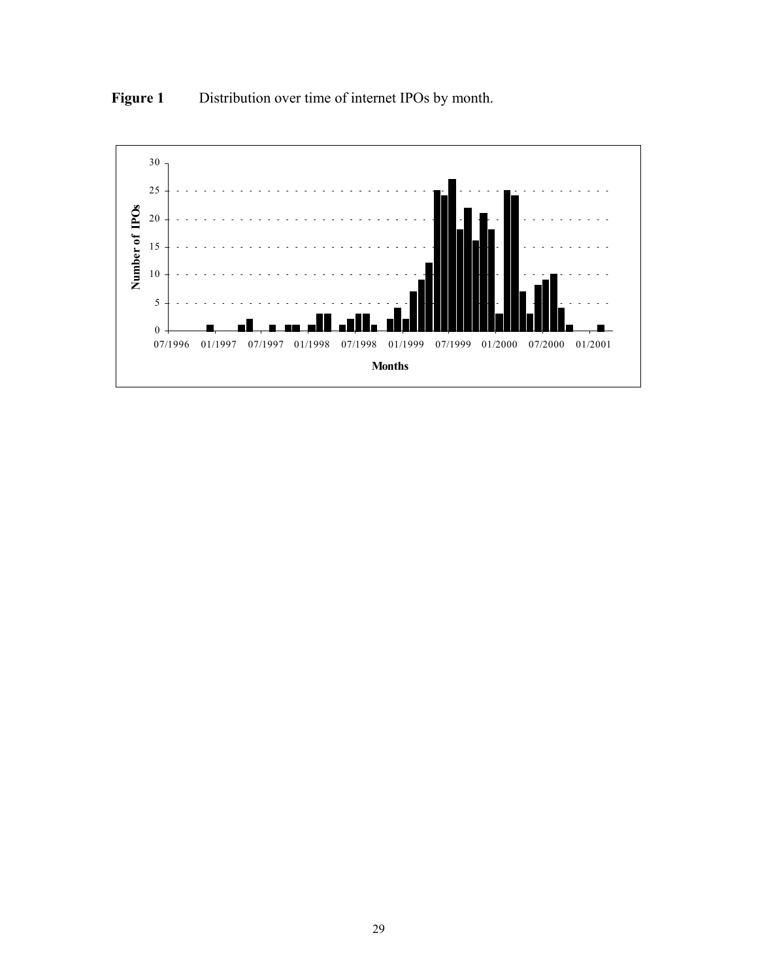

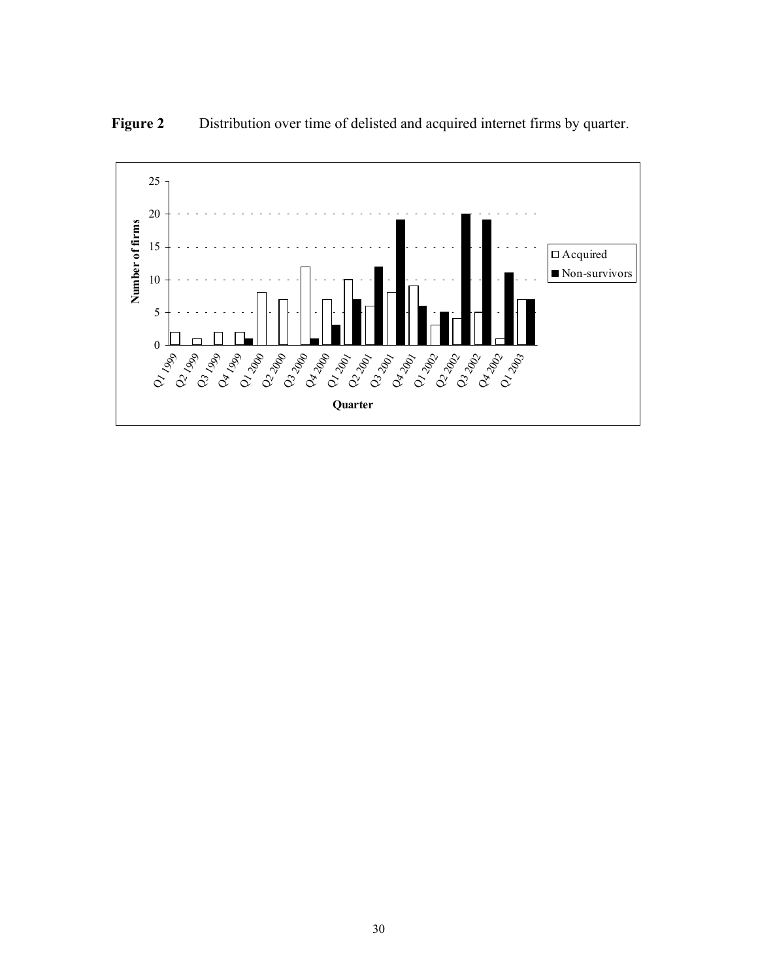

**Figure 2** Distribution over time of delisted and acquired internet firms by quarter.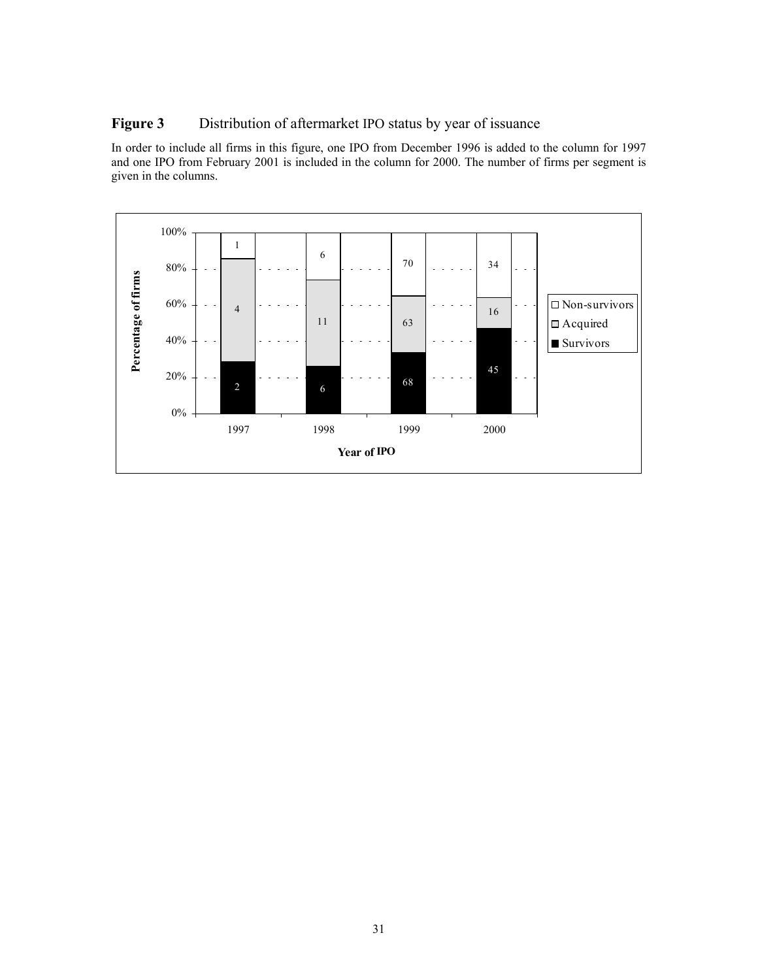#### **Figure 3** Distribution of aftermarket IPO status by year of issuance

In order to include all firms in this figure, one IPO from December 1996 is added to the column for 1997 and one IPO from February 2001 is included in the column for 2000. The number of firms per segment is given in the columns.

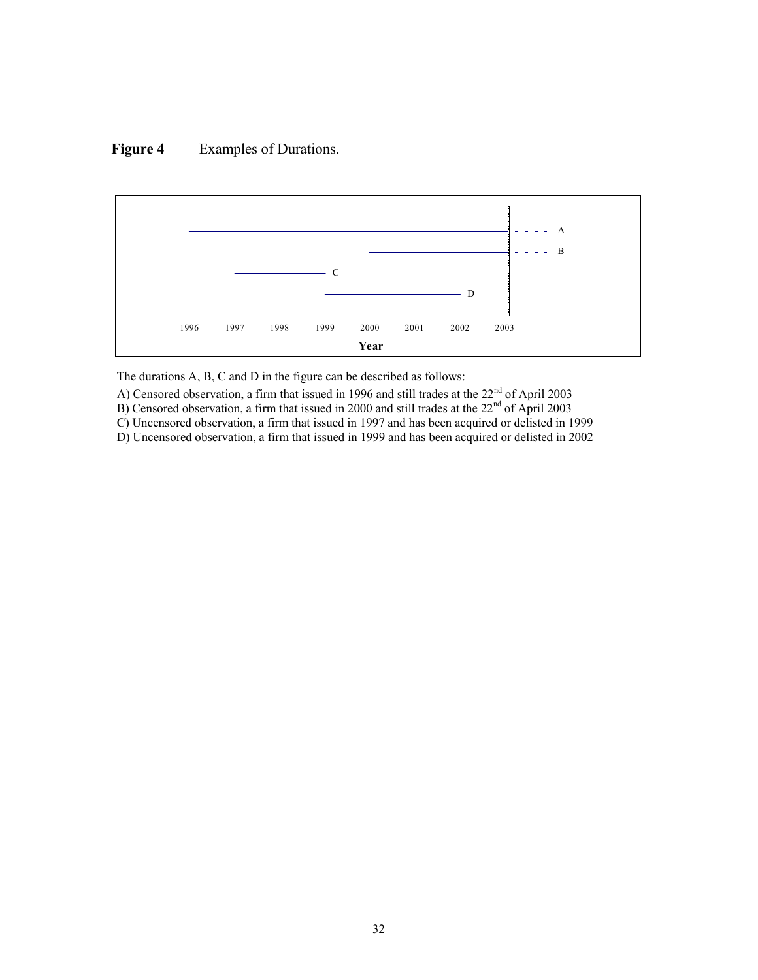### **Figure 4** Examples of Durations.



The durations A, B, C and D in the figure can be described as follows:

A) Censored observation, a firm that issued in 1996 and still trades at the  $22<sup>nd</sup>$  of April 2003

B) Censored observation, a firm that issued in 2000 and still trades at the  $22<sup>nd</sup>$  of April 2003

C) Uncensored observation, a firm that issued in 1997 and has been acquired or delisted in 1999

D) Uncensored observation, a firm that issued in 1999 and has been acquired or delisted in 2002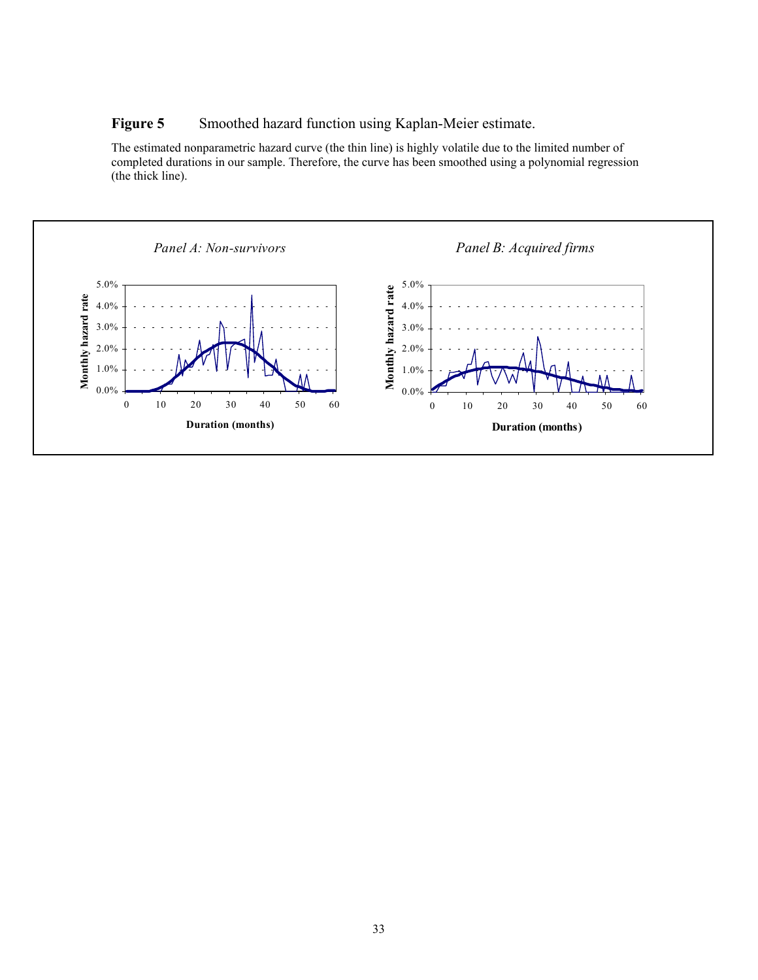### **Figure 5** Smoothed hazard function using Kaplan-Meier estimate.

The estimated nonparametric hazard curve (the thin line) is highly volatile due to the limited number of completed durations in our sample. Therefore, the curve has been smoothed using a polynomial regression (the thick line).

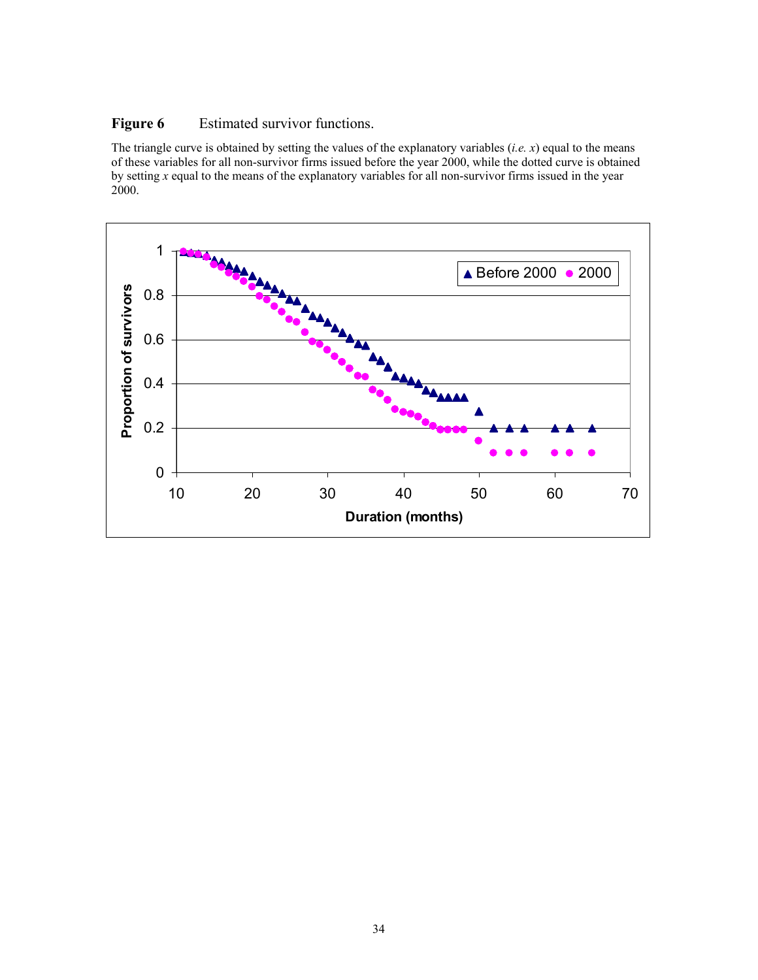#### **Figure 6** Estimated survivor functions.

The triangle curve is obtained by setting the values of the explanatory variables (*i.e. x*) equal to the means of these variables for all non-survivor firms issued before the year 2000, while the dotted curve is obtained by setting *x* equal to the means of the explanatory variables for all non-survivor firms issued in the year 2000.

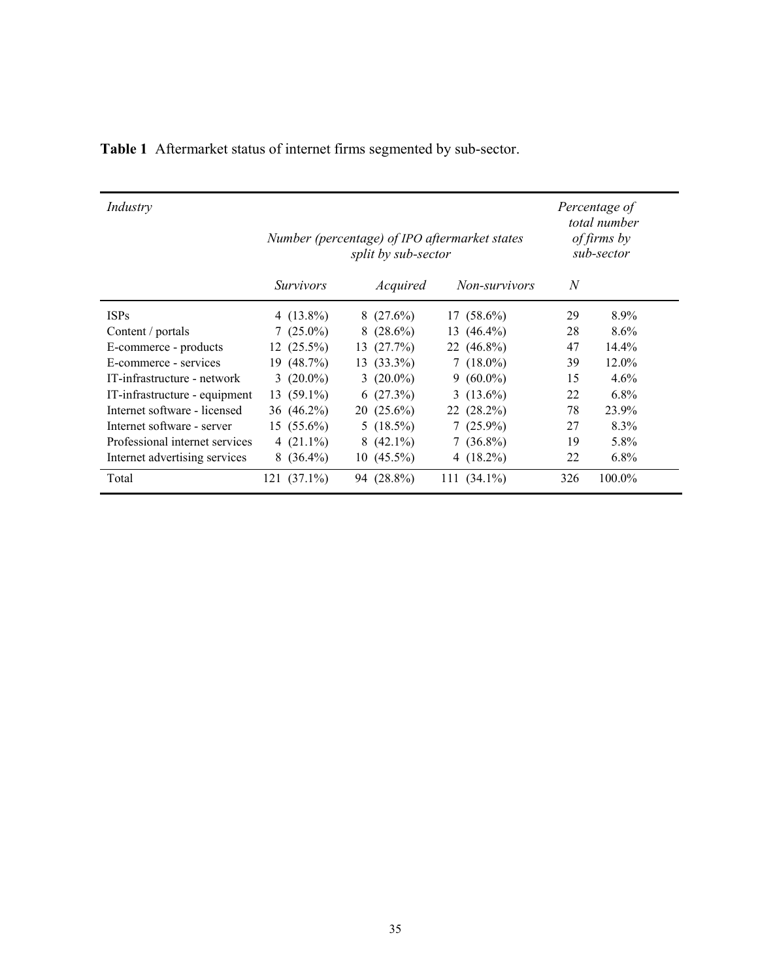| Industry                       | Number (percentage) of IPO aftermarket states | split by sub-sector |              | Percentage of<br>total number<br>of firms by<br>sub-sector |                      |     |         |
|--------------------------------|-----------------------------------------------|---------------------|--------------|------------------------------------------------------------|----------------------|-----|---------|
|                                | <i>Survivors</i>                              |                     | Acquired     |                                                            | <i>Non-survivors</i> | N   |         |
| <b>ISPs</b>                    | 4 $(13.8\%)$                                  |                     | $8(27.6\%)$  |                                                            | $17(58.6\%)$         | 29  | 8.9%    |
| Content / portals              | $7(25.0\%)$                                   | 8                   | $(28.6\%)$   | 13                                                         | $(46.4\%)$           | 28  | 8.6%    |
| E-commerce - products          | $12(25.5\%)$                                  |                     | 13(27.7%)    |                                                            | 22 $(46.8\%)$        | 47  | 14.4%   |
| E-commerce - services          | $19(48.7\%)$                                  | 13                  | $(33.3\%)$   |                                                            | $7(18.0\%)$          | 39  | 12.0%   |
| IT-infrastructure - network    | 3 $(20.0\%)$                                  |                     | 3 $(20.0\%)$ |                                                            | $9(60.0\%)$          | 15  | $4.6\%$ |
| IT-infrastructure - equipment  | $13(59.1\%)$                                  |                     | 6(27.3%)     |                                                            | 3 $(13.6\%)$         | 22  | $6.8\%$ |
| Internet software - licensed   | 36 (46.2%)                                    |                     | $20(25.6\%)$ |                                                            | $22(28.2\%)$         | 78  | 23.9%   |
| Internet software - server     | $15(55.6\%)$                                  |                     | 5 $(18.5\%)$ | 7                                                          | $(25.9\%)$           | 27  | 8.3%    |
| Professional internet services | 4 $(21.1\%)$                                  |                     | $8(42.1\%)$  |                                                            | $7(36.8\%)$          | 19  | 5.8%    |
| Internet advertising services  | $8(36.4\%)$                                   |                     | $10(45.5\%)$ |                                                            | 4 $(18.2\%)$         | 22  | $6.8\%$ |
| Total                          | $121(37.1\%)$                                 |                     | 94 (28.8%)   |                                                            | 111 $(34.1\%)$       | 326 | 100.0%  |

# **Table 1** Aftermarket status of internet firms segmented by sub-sector.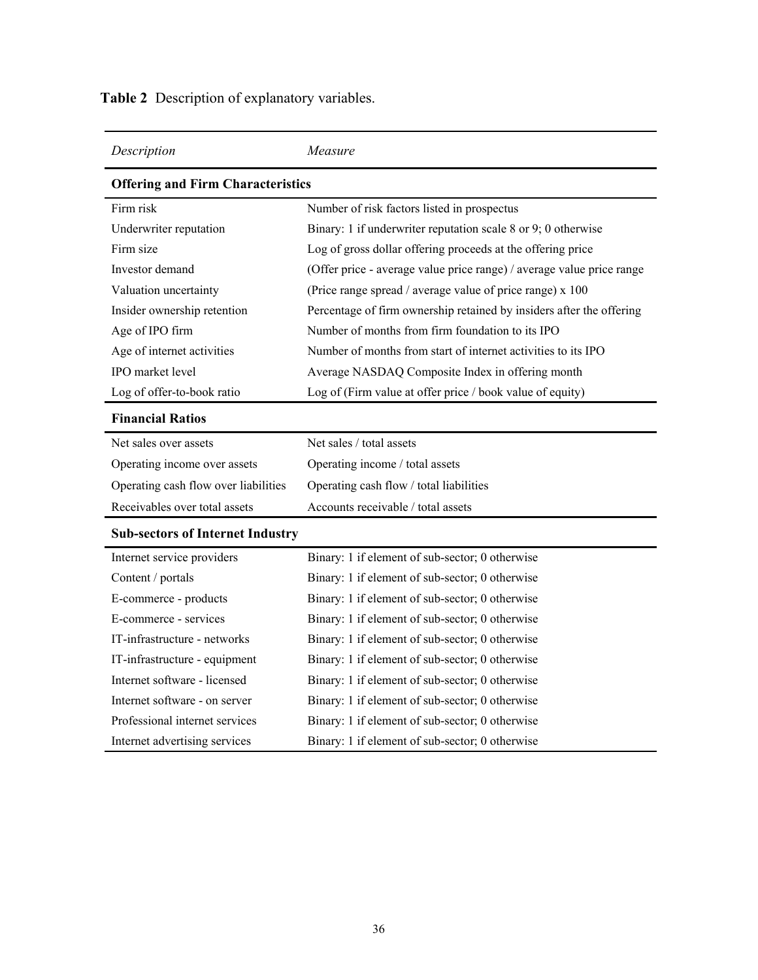| Description                              | Measure                                                               |  |  |  |  |  |  |  |  |
|------------------------------------------|-----------------------------------------------------------------------|--|--|--|--|--|--|--|--|
| <b>Offering and Firm Characteristics</b> |                                                                       |  |  |  |  |  |  |  |  |
| Firm risk                                | Number of risk factors listed in prospectus                           |  |  |  |  |  |  |  |  |
| Underwriter reputation                   | Binary: 1 if underwriter reputation scale 8 or 9; 0 otherwise         |  |  |  |  |  |  |  |  |
| Firm size                                | Log of gross dollar offering proceeds at the offering price           |  |  |  |  |  |  |  |  |
| Investor demand                          | (Offer price - average value price range) / average value price range |  |  |  |  |  |  |  |  |
| Valuation uncertainty                    | (Price range spread / average value of price range) x 100             |  |  |  |  |  |  |  |  |
| Insider ownership retention              | Percentage of firm ownership retained by insiders after the offering  |  |  |  |  |  |  |  |  |
| Age of IPO firm                          | Number of months from firm foundation to its IPO                      |  |  |  |  |  |  |  |  |
| Age of internet activities               | Number of months from start of internet activities to its IPO         |  |  |  |  |  |  |  |  |
| IPO market level                         | Average NASDAQ Composite Index in offering month                      |  |  |  |  |  |  |  |  |
| Log of offer-to-book ratio               | Log of (Firm value at offer price / book value of equity)             |  |  |  |  |  |  |  |  |
| <b>Financial Ratios</b>                  |                                                                       |  |  |  |  |  |  |  |  |
| Net sales over assets                    | Net sales / total assets                                              |  |  |  |  |  |  |  |  |
| Operating income over assets             | Operating income / total assets                                       |  |  |  |  |  |  |  |  |
| Operating cash flow over liabilities     | Operating cash flow / total liabilities                               |  |  |  |  |  |  |  |  |
| Receivables over total assets            | Accounts receivable / total assets                                    |  |  |  |  |  |  |  |  |
| <b>Sub-sectors of Internet Industry</b>  |                                                                       |  |  |  |  |  |  |  |  |
| Internet service providers               | Binary: 1 if element of sub-sector; 0 otherwise                       |  |  |  |  |  |  |  |  |
| Content / portals                        | Binary: 1 if element of sub-sector; 0 otherwise                       |  |  |  |  |  |  |  |  |
| E-commerce - products                    | Binary: 1 if element of sub-sector; 0 otherwise                       |  |  |  |  |  |  |  |  |
| E-commerce - services                    | Binary: 1 if element of sub-sector; 0 otherwise                       |  |  |  |  |  |  |  |  |
| IT-infrastructure - networks             | Binary: 1 if element of sub-sector; 0 otherwise                       |  |  |  |  |  |  |  |  |
| IT-infrastructure - equipment            | Binary: 1 if element of sub-sector; 0 otherwise                       |  |  |  |  |  |  |  |  |
| Internet software - licensed             | Binary: 1 if element of sub-sector; 0 otherwise                       |  |  |  |  |  |  |  |  |
| Internet software - on server            | Binary: 1 if element of sub-sector; 0 otherwise                       |  |  |  |  |  |  |  |  |
| Professional internet services           | Binary: 1 if element of sub-sector; 0 otherwise                       |  |  |  |  |  |  |  |  |
| Internet advertising services            | Binary: 1 if element of sub-sector; 0 otherwise                       |  |  |  |  |  |  |  |  |

**Table 2** Description of explanatory variables.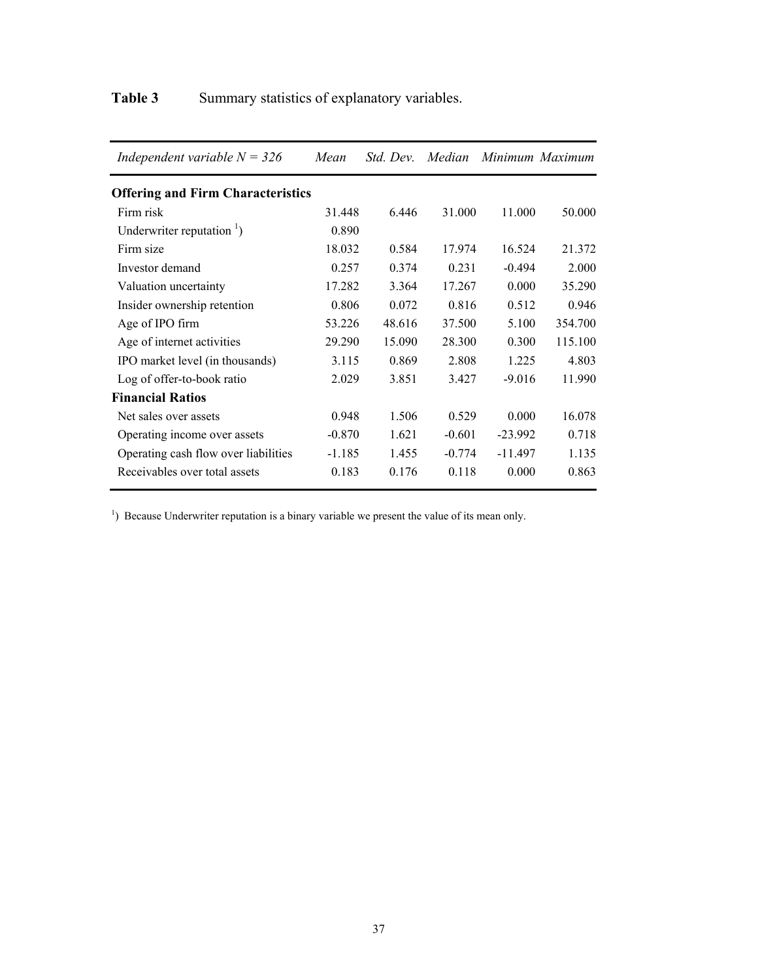# Table 3 Summary statistics of explanatory variables.

| Independent variable $N = 326$           | Mean     | <i>Std. Dev.</i> | Median   | Minimum Maximum |         |
|------------------------------------------|----------|------------------|----------|-----------------|---------|
| <b>Offering and Firm Characteristics</b> |          |                  |          |                 |         |
| Firm risk                                | 31.448   | 6.446            | 31.000   | 11.000          | 50.000  |
| Underwriter reputation $\frac{1}{1}$ )   | 0.890    |                  |          |                 |         |
| Firm size                                | 18.032   | 0.584            | 17.974   | 16.524          | 21.372  |
| Investor demand                          | 0.257    | 0.374            | 0.231    | $-0.494$        | 2.000   |
| Valuation uncertainty                    | 17.282   | 3.364            | 17.267   | 0.000           | 35.290  |
| Insider ownership retention              | 0.806    | 0.072            | 0.816    | 0.512           | 0.946   |
| Age of IPO firm                          | 53.226   | 48.616           | 37.500   | 5.100           | 354.700 |
| Age of internet activities               | 29.290   | 15.090           | 28.300   | 0.300           | 115.100 |
| IPO market level (in thousands)          | 3.115    | 0.869            | 2.808    | 1.225           | 4.803   |
| Log of offer-to-book ratio               | 2.029    | 3.851            | 3.427    | $-9.016$        | 11.990  |
| <b>Financial Ratios</b>                  |          |                  |          |                 |         |
| Net sales over assets                    | 0.948    | 1.506            | 0.529    | 0.000           | 16.078  |
| Operating income over assets             | $-0.870$ | 1.621            | $-0.601$ | $-23.992$       | 0.718   |
| Operating cash flow over liabilities     | $-1.185$ | 1.455            | $-0.774$ | $-11.497$       | 1.135   |
| Receivables over total assets            | 0.183    | 0.176            | 0.118    | 0.000           | 0.863   |

<sup>1</sup>) Because Underwriter reputation is a binary variable we present the value of its mean only.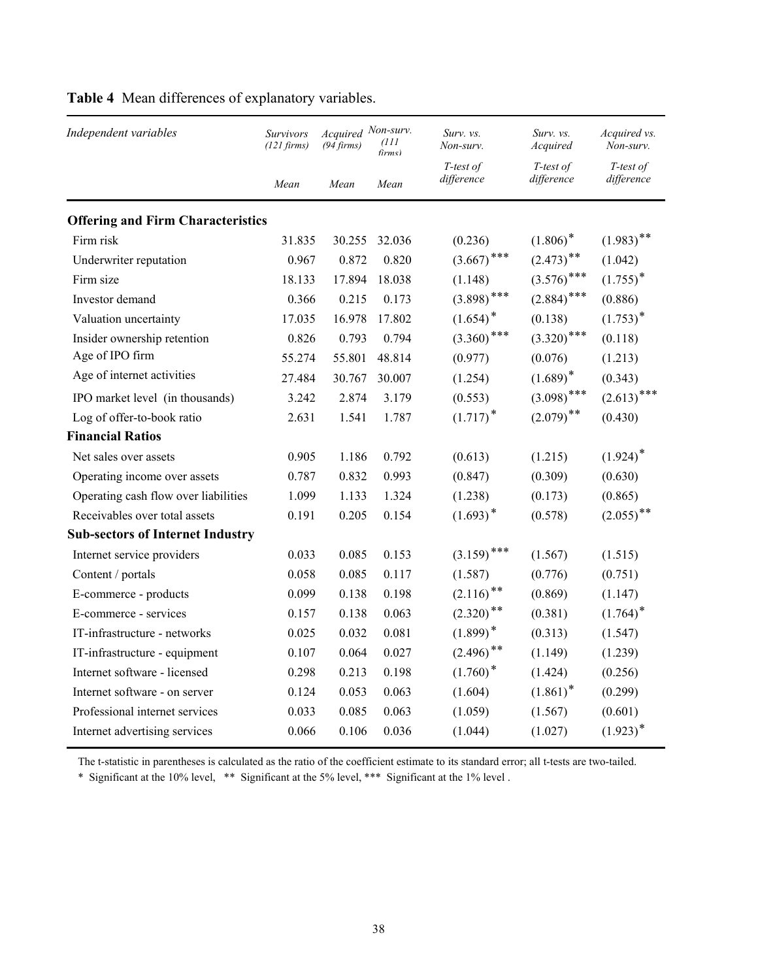| Independent variables                    | Survivors<br>$(121 \text{ firms})$ | Acquired Non-surv.<br>$(94 \, \text{firms})$ | (111<br>firms) | Surv. vs.<br>Non-surv.  | Surv. vs.<br>Acquired   | Acquired vs.<br>Non-surv. |
|------------------------------------------|------------------------------------|----------------------------------------------|----------------|-------------------------|-------------------------|---------------------------|
|                                          | Mean                               | Mean                                         | Mean           | T-test of<br>difference | T-test of<br>difference | T-test of<br>difference   |
| <b>Offering and Firm Characteristics</b> |                                    |                                              |                |                         |                         |                           |
| Firm risk                                | 31.835                             | 30.255                                       | 32.036         | (0.236)                 | $(1.806)^*$             | $(1.983)$ **              |
| Underwriter reputation                   | 0.967                              | 0.872                                        | 0.820          | $(3.667)$ ***           | $(2.473)$ **            | (1.042)                   |
| Firm size                                | 18.133                             | 17.894                                       | 18.038         | (1.148)                 | $(3.576)$ ***           | $(1.755)^*$               |
| Investor demand                          | 0.366                              | 0.215                                        | 0.173          | $(3.898)$ ***           | $(2.884)$ ***           | (0.886)                   |
| Valuation uncertainty                    | 17.035                             | 16.978                                       | 17.802         | $(1.654)$ <sup>*</sup>  | (0.138)                 | $(1.753)^*$               |
| Insider ownership retention              | 0.826                              | 0.793                                        | 0.794          | $(3.360)$ ***           | $(3.320)$ ***           | (0.118)                   |
| Age of IPO firm                          | 55.274                             | 55.801                                       | 48.814         | (0.977)                 | (0.076)                 | (1.213)                   |
| Age of internet activities               | 27.484                             | 30.767                                       | 30.007         | (1.254)                 | $(1.689)^*$             | (0.343)                   |
| IPO market level (in thousands)          | 3.242                              | 2.874                                        | 3.179          | (0.553)                 | $(3.098)$ ***           | $(2.613)$ ***             |
| Log of offer-to-book ratio               | 2.631                              | 1.541                                        | 1.787          | $(1.717)^*$             | $(2.079)$ **            | (0.430)                   |
| <b>Financial Ratios</b>                  |                                    |                                              |                |                         |                         |                           |
| Net sales over assets                    | 0.905                              | 1.186                                        | 0.792          | (0.613)                 | (1.215)                 | $(1.924)^*$               |
| Operating income over assets             | 0.787                              | 0.832                                        | 0.993          | (0.847)                 | (0.309)                 | (0.630)                   |
| Operating cash flow over liabilities     | 1.099                              | 1.133                                        | 1.324          | (1.238)                 | (0.173)                 | (0.865)                   |
| Receivables over total assets            | 0.191                              | 0.205                                        | 0.154          | $(1.693)^*$             | (0.578)                 | $(2.055)$ **              |
| <b>Sub-sectors of Internet Industry</b>  |                                    |                                              |                |                         |                         |                           |
| Internet service providers               | 0.033                              | 0.085                                        | 0.153          | $(3.159)$ ***           | (1.567)                 | (1.515)                   |
| Content / portals                        | 0.058                              | 0.085                                        | 0.117          | (1.587)                 | (0.776)                 | (0.751)                   |
| E-commerce - products                    | 0.099                              | 0.138                                        | 0.198          | $(2.116)$ <sup>**</sup> | (0.869)                 | (1.147)                   |
| E-commerce - services                    | 0.157                              | 0.138                                        | 0.063          | $(2.320)$ **            | (0.381)                 | $(1.764)^*$               |
| IT-infrastructure - networks             | 0.025                              | 0.032                                        | 0.081          | $(1.899)^*$             | (0.313)                 | (1.547)                   |
| IT-infrastructure - equipment            | 0.107                              | 0.064                                        | 0.027          | $(2.496)$ **            | (1.149)                 | (1.239)                   |
| Internet software - licensed             | 0.298                              | 0.213                                        | 0.198          | $(1.760)^*$             | (1.424)                 | (0.256)                   |
| Internet software - on server            | 0.124                              | 0.053                                        | 0.063          | (1.604)                 | $(1.861)^*$             | (0.299)                   |
| Professional internet services           | 0.033                              | 0.085                                        | 0.063          | (1.059)                 | (1.567)                 | (0.601)                   |
| Internet advertising services            | 0.066                              | 0.106                                        | 0.036          | (1.044)                 | (1.027)                 | $(1.923)^*$               |

# **Table 4** Mean differences of explanatory variables.

The t-statistic in parentheses is calculated as the ratio of the coefficient estimate to its standard error; all t-tests are two-tailed.

\* Significant at the 10% level, \*\* Significant at the 5% level, \*\*\* Significant at the 1% level .